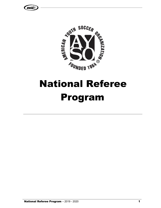



# National Referee Program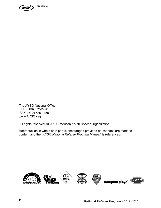

The AYSO National Office TEL: (800) 872-2976 FAX: (310) 525-1155 www.AYSO.org

All rights reserved. © 2019 American Youth Soccer Organization

Reproduction in whole or in part is encouraged provided no changes are made to content and the "*AYSO National Referee Program Manual*" is referenced.

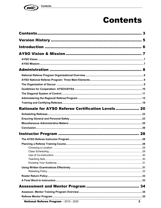

## **Contents**

| Rationale for AYSO Referee Certification Levels  20 |   |
|-----------------------------------------------------|---|
|                                                     |   |
|                                                     |   |
|                                                     |   |
|                                                     |   |
|                                                     |   |
|                                                     |   |
|                                                     |   |
|                                                     |   |
|                                                     |   |
|                                                     |   |
|                                                     |   |
|                                                     |   |
|                                                     |   |
|                                                     |   |
|                                                     |   |
|                                                     |   |
|                                                     |   |
| National Referee Program - 2019 - 2020              | 3 |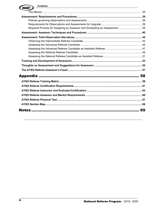| <b>Contents</b><br><b>AYSO.</b>                                              |    |
|------------------------------------------------------------------------------|----|
|                                                                              |    |
|                                                                              |    |
|                                                                              |    |
|                                                                              |    |
| Required Process for Assigning an Assessor and Scheduling an Assessment:  39 |    |
|                                                                              |    |
|                                                                              |    |
|                                                                              |    |
|                                                                              |    |
|                                                                              |    |
|                                                                              |    |
|                                                                              |    |
|                                                                              |    |
|                                                                              |    |
|                                                                              |    |
|                                                                              |    |
|                                                                              |    |
|                                                                              |    |
|                                                                              |    |
|                                                                              |    |
|                                                                              |    |
|                                                                              |    |
|                                                                              | 69 |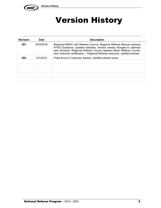

## Version History

| <b>Revision</b> | <b>Date</b> | <b>Description</b>                                                                                                                                                                                                                                                                                      |
|-----------------|-------------|---------------------------------------------------------------------------------------------------------------------------------------------------------------------------------------------------------------------------------------------------------------------------------------------------------|
| 001             | 8/23/2018   | Replaced NRAC with Referee Council, Regional Referee Manual replaces<br>AYSO Guidance, updated websites, division names changed to calendar<br>year divisions, Regional Referee Course replaces Basic Referee Course,<br>new Instructor certification - Regional Referee Instructor, clarified policies |
| 002             | 6/1/2019    | Fixed errors in Instructor section, clarified referee socks                                                                                                                                                                                                                                             |
|                 |             |                                                                                                                                                                                                                                                                                                         |
|                 |             |                                                                                                                                                                                                                                                                                                         |
|                 |             |                                                                                                                                                                                                                                                                                                         |
|                 |             |                                                                                                                                                                                                                                                                                                         |
|                 |             |                                                                                                                                                                                                                                                                                                         |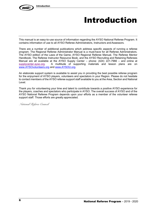

## Introduction

This manual is an easy-to-use source of information regarding the AYSO National Referee Program. It contains information of use to all AYSO Referee Administrators, Instructors and Assessors.

There are a number of additional publications which address specific aspects of running a referee program. The Regional Referee Administrator Manual is a must-have for all Referee Administrators. The AYSO edition of the Laws of the Game, AYSO Regional Referee Manual, The Referee Mentor Handbook, The Referee Instructor Resource Book, and the AYSO Recruiting and Retaining Referees Manual are all available at the AYSO Supply Center – phone: (424) 221-7966 – and online at supplycenter.ayso.org. A multitude of supporting materials and lesson plans are on www.AYSOvolunteers.org and www.AYSOU.org.

An elaborate support system is available to assist you in providing the best possible referee program for the enjoyment of AYSO players, volunteers and spectators in your Region. Please do not hesitate to contact members of the AYSO referee support staff available to you at the Area, Section and National Level.

Thank you for volunteering your time and talent to contribute towards a positive AYSO experience for the players, coaches and spectators who participate in AYSO. The overall success of AYSO and of the AYSO National Referee Program depends upon your efforts as a member of the volunteer referee support staff. Those efforts are greatly appreciated.

*National Referee Council*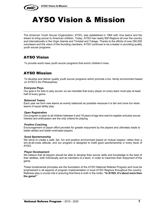

## AYSO Vision & Mission

The American Youth Soccer Organization, AYSO, was established in 1964 with nine teams and the dream to bring soccer to American children. Today, AYSO has nearly 900 Regions all over the country and internationally in the Virgin Islands and Trinidad and Tobago. Thanks to the efforts of over 250,000 volunteers and the vision of the founding members, AYSO continues to be a leader in providing quality youth soccer programs.

## AYSO Vision

To provide world class youth soccer programs that enrich children's lives.

## AYSO Mission

To develop and deliver quality youth soccer programs which promote a fun, family environment based on AYSO's Six Philosophies:

#### **Everyone Plays**

Our goal is for kids to play soccer–so we mandate that every player on every team must play at least half of every game.

#### **Balanced Teams**

Each year we form new teams as evenly balanced as possible–because it is fair and more fun when teams of equal ability play.

#### **Open Registration**

Our program is open to all children between 4 and 19 years of age who want to register and play soccer. Interest and enthusiasm are the only criteria for playing.

#### **Positive Coaching**

Encouragement of player effort provides for greater enjoyment by the players and ultimately leads to better-skilled and better-motivated players.

#### **Good Sportsmanship**

We strive to create a safe, fair, fun and positive environment based on mutual respect, rather than a win-at-all-costs attitude, and our program is designed to instill good sportsmanship in every facet of AYSO.

#### **Player Development**

We believe that all players should be able to develop their soccer skills and knowledge to the best of their abilities, both individually and as members of a team, in order to maximize their enjoyment of the game.

These fundamental principles are the foundation of the AYSO National Referee Program and must be emphasized in all aspects of program implementation in local AYSO Regions throughout the country. Referees play a crucial role in ensuring that there is truth in the motto: **"In AYSO, it's about more than the game!"**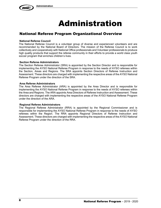

## Administration

## National Referee Program Organizational Overview

#### **National Referee Council**

The National Referee Council is a volunteer group of diverse and experienced volunteers and are recommended by the National Board of Directors. The mission of the Referee Council is to work collectively and cooperatively with National Office professionals and Volunteer professionals to produce high quality products that support the referee community in their efforts to provide a world class youth soccer program that enriches children's lives.

#### **Section Referee Administrators**

The Section Referee Administrator (SRA) is appointed by the Section Director and is responsible for implementing the AYSO National Referee Program in response to the needs of AYSO referees within the Section, Areas and Regions. The SRA appoints Section Directors of Referee Instruction and Assessment. These directors are charged with implementing the respective areas of the AYSO National Referee Program under the direction of the SRA.

#### **Area Referee Administrators**

The Area Referee Administrator (ARA) is appointed by the Area Director and is responsible for implementing the AYSO National Referee Program in response to the needs of AYSO referees within the Area and Regions. The ARA appoints Area Directors of Referee Instruction and Assessment. These directors are charged with implementing the respective areas of the AYSO National Referee Program under the direction of the ARA.

#### **Regional Referee Administrators**

The Regional Referee Administrator (RRA) is appointed by the Regional Commissioner and is responsible for implementing the AYSO National Referee Program in response to the needs of AYSO referees within the Region. The RRA appoints Regional Directors of Referee Instruction and Assessment. These directors are charged with implementing the respective areas of the AYSO National Referee Program under the direction of the RRA.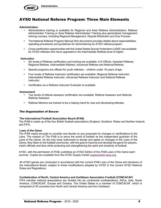

#### **Administration**

- Administrative training is available for Regional and Area Referee Administrators: Referee Administrator Training or Area Referee Administrator Training plus generalized management training courses, including Regional Management, Dispute Resolution and Due Process.
- The National Referee Program Manual (this document) provides details about responsibilities, operating procedures and guidelines for administering an AYSO referee program.
- Cross-certification opportunities with the United States Soccer Federation (USSF) are available for AYSO referees who have upgraded to the Intermediate Referee level or higher.

#### **Instruction**

- Six levels of Referee certification and training are available: U-8 Official, Assistant Referee, Regional Referee, Intermediate Referee, Advanced Referee and National Referee.
- Special programs are offered for youth referees children under 18 years of age.
- Four levels of Referee Instructor certification are available: Regional Referee Instructor, Intermediate Referee Instructor, Advanced Referee Instructor and National Referee Instructor.
- Certification as a Referee Instructor Evaluator is available.

#### **Assessment**

- Two levels of referee assessor certification are available: Referee Assessor and National Referee Assessor.
- Referee Mentors are trained to be a helping hand for new and developing referees.

#### The Organization of Soccer

#### **The International Football Association Board (IFAB)**

The IFAB is made up of the four British football associations (England, Scotland, Wales and Norther Ireland) and FIFA.

#### **Laws of the Game**

The IFAB meets annually to consider and decide on any proposals for changes or clarifications to the Laws. The mission of The IFAB is to serve the world of football as the independent guardian of the Laws of the Game. As the only body authorized to decide and agree on changes to the Laws of the Game, they listen to the football community, with the goal to improve and develop the game for players, match officials and fans while protecting and strengthening the spirit and simplicity of football.

AYSO, with the permission of IFAB, publishes an AYSO Edition of the IFAB *Laws of the Game* each summer. Copies are available from the AYSO Supply Center supplycenter.ayso.org.

All AYSO games are conducted in accordance with the current IFAB *Laws of the Game* and decisions of the International Board, subject to those modifications adopted by AYSO in the current AYSO National Rules and Regulations.

#### **Confederation of North, Central America and Caribbean Association Football (CONCACAF)**

FIFA member national associations are divided into six continental confederations: Africa, Asia, South America, CONCACAF, Europe and Oceana. The United States is a member of CONCACAF, which is comprised of 35 countries from North and Central America and the Caribbean.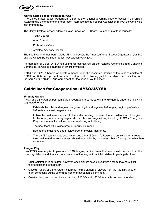

#### **United States Soccer Federation (USSF)**

The United States Soccer Federation (USSF) is the national governing body for soccer in the United States and is a member of the Fédération Internationale de Football Association (FIFA), the worldwide governing body.

The United States Soccer Federation, also known as US Soccer, is made up of four councils:

- Youth Council
- Adult Council
- Professional Council
- Athletes' Advisory Council

The Youth Council members include US Club Soccer, the American Youth Soccer Organization (AYSO) and the United States Youth Soccer Association (USYSA).

As members of USSF, AYSO has voting representatives on the Referee Committee and Coaching Committee, as well as a number of othercommittees.

AYSO and USYSA boards of directors, based upon the recommendations of the joint committee of AYSO and USYSA representatives, have adopted the following guidelines, which are consistent with the April 1989 AYSO/USYSA agreement, for the good of youth soccer.

### Guidelines for Cooperation: AYSO/USYSA

#### **Friendly Games**

AYSO and USYSA member teams are encouraged to participate in friendly games under the following suggested format:

- Establish the rules and regulations governing friendly games before play begins, preferably before teams meet on game day.
- Follow the host team's rules with the understanding, however, that consideration will be given to the other, non-hosting organizations rules and regulations, including AYSO's "Everyone Plays" rule (even if substitutions are made only at halftime).
- The host team will provide proof of liability insurance.
- Both teams must have and provide proof of medical insurance.
- The USYSA team's state association and the AYSO team's Regional Commissioner, through their designated representatives, should be notified by their teams that a friendly game has been scheduled.

#### **League Play**

If an AYSO team applies to play in a USYSA league, or vice-versa, that team must comply with all the rules, regulations and financial commitments of the league in which it wishes to participate. Also:

- Dual registration is permitted; however, once players have played with a team, they must fulfill their obligations to that team.
- Once an AYSO or USYSA team is formed, no recruitment of players from that team by another team competing during all or a portion of that season is permitted.
- Creating leagues that combine a number of AYSO and USYSA teams is notrecommended.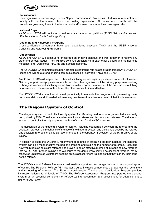

#### **Tournaments**

Each organization is encouraged to host "Open Tournaments." Any team invited to a tournament must comply with the tournament rules of the hosting organization. All teams must comply with the procedures governing travel in the tournament and/or travel manual of their ownorganization.

#### **National Cups**

AYSO and USYSA will continue to hold separate national competitions (AYSO National Games and USYSA National Youth Challenge Cup).

#### **Coaching and Refereeing Programs**

Cross-certification agreements have been established between AYSO and the USSF National Coaching and Refereeing Programs.

#### **Cooperation**

AYSO and USYSA will continue to encourage an ongoing dialogue and work together to resolve any state and/or local issues. They will also continue participating in each other's board and membership meetings, e.g., workshops, NAGMs and Section meetings.

The AYSO/USYSA committee has been granted a continuing role as a facilitator of local AYSO/USYSA issues and will be a strong ongoing communications link between AYSO and USYSA.

AYSO and USYSA will respect each other's disciplinary actions against players and/or adult volunteers. Neither group will accept players or adults from the other organization if the primary purpose of seeking a change is to escape disciplinary action. Nor should a program be accepted if the purpose for switching is to circumvent the reasonable rules of the other's constitution and bylaws.

The AYSO/USYSA committee will meet periodically to evaluate the progress of implementing these recommendations and, if needed, address any new issues that arise as a result of their implementation.

## The Diagonal System of Control

The diagonal system of control is the only system for officiating outdoor soccer games that is currently recognized by FIFA. The diagonal system employs a referee and two assistant referees. The diagonal system of control is the only approved method of control for all AYSO matches.

The application of the diagonal system of control, including cooperation between the referee and the assistant referees, the mechanics of the use of the diagonal system and the signals used by the referee and assistant referees, shall be as recommended in the current AYSO edition of the IFAB *Laws of the Game*.

In addition to being the universally recommended method of officiating outdoor matches, the diagonal system can be a most effective method of increasing and retaining the number of referees. Recruiting new volunteers as assistant referees has proven to be an effective method of introducing new referees into AYSO. After proper training and exposure to the game while serving as assistant referees, many otherwise uninterested volunteers become enthusiastic for more training so that they can try their hand as the referee.

The AYSO National Referee Program is designed to support and encourage the use of the diagonal system of control. The Regional Referee Administrator Course includes components that address the recruitment and scheduling of referees. The Referee Administrator Training and Certification Program provides instruction tailored to all levels of AYSO. The Referee Assessment Program incorporates the diagonal system as an essential component of referee testing, observation and assessment for advancement to higher-grade levels.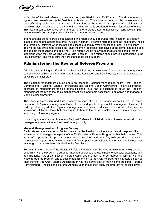

Note: Use of the dual refereeing system is **not permitted** in any AYSO match. The dual refereeing system uses two referees on the field, both with whistles. This system encourages the development of poor officiating habits and is the source of frustrations as the referees attempt the impossible task of remaining close to play and, at the same time, being correctly positioned to watch for offside offenses. This system can cause hesitancy on the part of the referees and/or unnecessary interruptions in play as the two referees attempt to consult with one another for a consensus.

If a neutral assistant referee is not available, the referee should recruit a "club linesman" to assist in place of the neutral assistant referee. A "club linesman," a person recruited from the "club/team," helps the referee by indicating when the ball has passed out of play over a touchline or goal line by simply raising the flag straight up (best if the "club linesman" positions themselves at the corner flag to be able to see both the touchline and goal line). The referee will be solely responsible for making all other decisions when they are working with a "club linesman." The referee should provide instructions to the "club linesman" and make sure they are thanked for their support.

## Administering the Regional Referee Program

Administrative training is offered in the Regional Referee Administrator Course and in management courses, such as Regional Management, Dispute Resolution and Due Process, which are available to all AYSO administrators.

The Regional Management course offers an incoming Regional management team – the Regional Commissioner, Regional Referee Administrator and Regional Coach Administrator – a unified, practical approach to management training at the Regional level and is designed to equip the Regional management team with the basic management skills and tools necessary to establish and manage a viable Regional program.

The Dispute Resolution and Due Process courses offer an enhanced curriculum to the more experienced Regional management team with a unified, practical approach to managing volunteers. It is designed to upgrade the Regional management team with the dispute resolution and due process knowledge, skills and tools that they require to handle the more complex issues of maintaining and improving a Regional program.

It is strongly recommended that every Regional Referee Administrator attend these courses with their management team at the earliest possible opportunity.

#### **General Management and Program Delivery**

Each referee administrator – Section, Area, or Regional – has the same overall responsibility: to administer and manage the aspects of the AYSO National Referee Program within their purview. This is an in/out process; the program must be both received and sent. Any referee administrator who receives training or program information and fails to pass it on makes that information valueless, just as though it had never been received in the first place.

To assist in the delivery of the National Referee Program, each Referee Administrator is expected to be familiar with the program's purpose, intended audience and usefulness to particular situations, and its limitations. Part of the Section Referee Administrator's duty is to be thoroughly familiar with the National Referee Program and to pass that familiarity on to the Area Referee Administrators as part of their training. An Area Referee Administrator has the same duty in training the Regional Referee Administrators. The Regional Referee Administrator should then apply the program at the local level.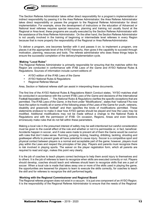

The Section Referee Administrator takes either direct responsibility for a program's implementation or indirect responsibility by passing it to the Area Referee Administrator; the Area Referee Administrator takes direct responsibility or passes the program to the Regional Referee Administrator for direct implementation. For example, since the development of instructors or the education of Advanced or National level referees requires special resources, planning and training not usually found at the Regional or Area level, these programs are usually executed by the Section Referee Administrator with the assistance of the Area Referee Administrator. On the other hand, the Section Referee Administrator is not usually involved in the training of beginning or intermediate level referees in every Region because that is more properly the responsibility of the Regional or Area RefereeAdministrator.

To deliver a program, one becomes familiar with it and passes it on; to implement a program, one places it at the appropriate level of the AYSO hierarchy, then gives it the capability to succeed through motivation, planning, resources and tools. The referee administrator who does these things helps to ensure the successful completion of the delivery/implementation cycle.

#### **Making "Local Rules"**

The Regional Referee Administrator is primarily responsible for ensuring that the matches within the Region are conducted in conformance with IFAB *Laws of the Game* and AYSO National Rules & Regulations. Sources of information include current editions of:

- AYSO edition of the IFAB *Laws of the Game*
- AYSO National Rules & Regulations
- Regional Referee Manual

Area, Section or National referee staff can assist in interpreting these documents.

The first line of the AYSO National Rules & Regulations Match Conduct states, "AYSO matches shall be conducted in accordance with the current IFAB *Laws of the Game* and decisions of the International Football Association Board…" The *National Rules & Regulations* clarifies the specific exceptions that are permitted. The IFAB *Laws of the Game,* in the front under "Modifications", states that "national FAs now have the option to modify all or some of the following areas of the Laws of the Game for youth, veterans, disability and grassroots football" and then specifies the kinds of modifications permitted. These statements endeavor to make it clear how AYSO games should be played and how the Laws may be modified. Additional modifications may not be made without a change to the National Rules & Regulations and with the permission of IFAB. On occasion, Regions, Areas and even Sections erroneously make rules that do not fall within these parameters.

Making a local rule in the presumed interest of safety may be well-intentioned but careful consideration must be given to the overall effect of the rule and whether or not it is permissible or, in fact, beneficial. Accidents happen in soccer, and if rules were made to prevent all of them the Game would be overrun with rules that don't make sense. Running, jumping, kicking, heading, dribbling, tackling, shooting and goalkeeper efforts to prevent goals all have potential to cause injury. Soccer is a competitive sport and physical contact between players is a normal and acceptable part of the game; however, players must play within the Laws and respect the principles of fair play. Players and parents must recognize there is risk involved in playing sports. The waiver on the player registration form, which all parents are required to read and sign, makes this point very clearly.

It is the job of coaches to teach players correct technique to help them avoid injury to themselves and to others. It is the job of referees to learn to recognize when skills are executed correctly or not. Players should develop, coaches should teach and referees should learn to recognize skills that are a part of soccer. When a local rule is made that takes away one or more of the skills used in playing the game, the opportunities are lessened for players to learn to execute the skills correctly, for coaches to teach the skill and for referees to recognize the skill performed legally.

#### **Working with the Regional Commissioner and Regional Board**

The Regional referee program does not exist in a vacuum. It is just one component of an AYSO Region. It is the responsibility of the Regional Referee Administrator to ensure that the needs of the Regional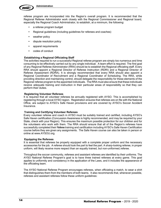

referee program are incorporated into the Region's overall program. It is recommended that the Regional Referee Administrator work closely with the Regional Commissioner and Regional board, especially the Regional Coach Administrator, to establish, at a minimum, the following:

- a referee program budget
- Regional guidelines (including guidelines for referees and coaches)
- weather policy
- dispute resolution policy
- apparel requirements
- codes of conduct

#### **Establishing a Regional Officiating Staff**

The activities required to run a successful Regional referee program are simply too numerous and time consuming to be effectively carried out by any single individual. A team effort is required. The first goal of any Regional Referee Administrator (RRA) should be to establish the Regional officiating staff. Every RRA should appoint a Regional Director of Referee Instruction (RDRI) and a Regional Director of Referee Assessment (RDRA). It is strongly recommended that every RRA should also appoint a Regional Coordinator of Recruitment and a Regional Coordinator of Scheduling. The RRA, while providing direction and maintaining control, should delegate the responsibility for these elements of the Regional referee program to the appointed individuals. The RRA must also ensure that these individuals receive adequate training and instruction in their particular areas of responsibility so that they can perform their duties.

#### **Registering Volunteer Referees**

It is required that all volunteer referees be annually registered with AYSO. This is accomplished by registering through a local AYSO region. Registration ensures that referees are on file with the National Office, are subject to AYSO's Safe Haven provisions and are covered by AYSO's Soccer Accident Insurance.

#### **Training and Certifying Volunteer Referees**

Every volunteer referee and coach in AYSO must be suitably trained and certified, including AYSO's Safe Haven certification (Concussion Awareness is highly recommended, and may be required by your State, check with your Region). This ensures the maximum possible protection for our children and for the volunteers who work with them. The RRA should ensure that all of the Region's referees have successfully completed their Referee training and certification including AYSO's Safe Haven Certification course before they are given any assignments. The Safe Haven course can also be taken in person or online at www.AYSOU.org.

#### **Equipping the Referees**

It is essential that referees be properly equipped with a complete proper uniform and the necessary accessories for the job. A referee should look the part to feel the part. A sharp-looking referee, in proper uniform, will likely receive more respect than an equally trained, but non-uniformed,referee.

Throughout the soccer community, referees and assistant referees are identified by their uniforms. The AYSO National Referee Program's goal is to have three trained referees at every game. This goal applies to uniformity and consistency in the application of the Laws, and it includes the appearance of the officiating team.

The AYSO National Referee Program encourages referees, when officiating a match, to wear a shirt that distinguishes them from the members of both teams. It also recommends that, whenever possible, referees and assistant referees follow these uniform guidelines: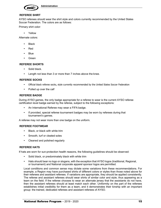

#### **REFEREE SHIRT**

AYSO referees should wear the shirt style and colors currently recommended by the United States Soccer Federation. The colors are as follows:

Primary shirt color:

• Yellow

Alternate colors:

- **Black**
- Red
- **Blue**
- **Green**

#### **REFEREE SHORTS**

- Solid black.
- Length not less than 3 or more than 7 inches above the knee.

#### **REFEREE SOCKS**

- Official black referee socks, style currently recommended by the United States Soccer Federation
- Pulled up over the calf

#### **REFEREE BADGE**

During AYSO games, the only badge appropriate for a referee to wear is the current AYSO referee certification level badge earned by the referee, subject to the following exceptions:

- An International Referee may wear a FIFA badge.
- If provided, special referee tournament badges may be worn by referees during that tournament's games.

A referee may not wear more than one badge on the uniform.

#### **REFEREE FOOTWEAR**

- Black, or black with white trim
- Smooth, turf or cleated soles
- Cleaned and polished regularly

#### **REFEREE HATS**

If hats are worn for sun-protection health reasons, the following guidelines should be observed:

- Solid black, or predominately black with white trim
- Hats should bear no logo or slogans, with the exception that AYSO logos (traditional, Regional, or tournament) and National corporate apparel sponsor logos are permitted.

Local conditions and common sense may dictate some variations from these recommendations. For example, a Region may have purchased shirts of different colors or styles than those noted above for their referees and assistant referees. If variations are appropriate, they should be applied consistently. The referee and assistant referees should wear shirts of similar color and style, thus appearing as a team on the field. If the referee chooses to wear an alternate jersey that the assistants do not have, then the assistant referees should at least match each other. Uniformity on the part of the referees establishes initial credibility for them as a team, and it demonstrates their kinship with an important group: the trained, dedicated referees and assistant referees of AYSO.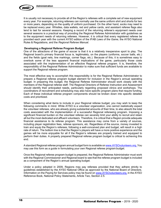

It is usually not necessary to provide all of the Region's referees with a complete set of new equipment every year. For example, returning referees can normally use the same uniform shirt and shorts for two or more years, depending on the quality of uniform purchased. On the other hand, socks may need to be replaced every year. Whistles, data wallets, red and yellow cards, and assistant referee flags also tend to last for several seasons. Keeping a record of the returning referee's equipment needs over several seasons is a practical way of providing the Regional Referee Administrator with guidelines as to the equipment needs of returning referees. However, it is critical that every registered referee be provided each year with the current AYSO edition of the IFAB *Laws of the Game*, the AYSO National Rules & Regulations, and the *Regional Referee Manual*.

#### **Developing a Regional Referee Program Budget**

One of the attractions of the game of soccer is that it is a relatively inexpensive sport to play. The Regional board's primary financial focus is, legitimately, on the players (uniforms, soccer balls, etc.) and the fields (goal nets, line markings, corner flags, etc.). Because of this, it is sometimes easy to overlook some of the less apparent financial implications of the game, particularly those costs associated with the implementation of an effective Regional referee program. It is, therefore, the responsibility of the Regional Referee Administrator to make sure that sufficient funds are available to support the Regional referee program.

The most effective way to accomplish this responsibility is for the Regional Referee Administrator to prepare a Regional referee program budget element for inclusion in the Region's annual operating budget. In preparing this budget, the Regional Referee Administrator should work closely with the members of the Regional referee staff. The Regional Directors of Referee Instruction and Assessment should identify their anticipated needs, particularly regarding proposed clinics and workshops. The coordinators of recruitment and scheduling may also have specific program plans that require funding. Each of these individual referee program components should be broken down into specific detailed costs and prioritized.

When considering what items to include in your Regional referee budget, you may wish to keep the following comments in mind. While AYSO is a volunteer organization, one cannot realistically expect the volunteer referees, who are already giving substantial amounts of their time, to also absorb the total costs associated with the implementation of a successful Regional refereeing program. Imposing a significant financial burden on the volunteer referee can severely limit your ability to recruit and retain all but the most dedicated and affluent volunteers. Therefore, it is critical that a Region provide adequate financial assistance to its referee program. This assistance may come from a variety of sources, including player registration fees, referee sponsors, etc. Regardless of the source, money invested to train and equip the Region's referees, following a well-conceived plan and budget, will result in a high rate of return. The bottom line is that the Region's players will have a more positive experience and the games will be more enjoyable for all if the Region's referees are properly trained and equipped to perform their duties. A properly prepared Regional referee program budget is critical to achieving this end.

A standard Regional referee program annual budget form is available on www.AYSOvolunteers.org. You may use this form as a guide in formulating your own Regional referee program budget.

Once the Regional referee program budget is prepared, the Regional Referee Administrator must work with the Regional Commissioner and Regional board to see that the referee program budget is included as a component of the Region's annual operating budget.

Under a policy adopted in 2009, Regions may pay referees provided that they adhere strictly to guidelines established by the AYSO National Office as approved by the National Board of Directors. Information on the Paying for Services policy may be found on www.AYSOvolunteers.org, in the AYSO Reference Book, National Policy Statements, Article Two, Section 2.5.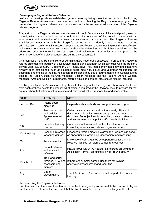

#### **Developing a Regional Referee Calendar**

Just as the thinking referee establishes game control by being proactive on the field, the thinking Regional Referee Administrator needs to be proactive in planning the Region's referee program. The preparation of a Regional referee calendar is essential for the successful administration of the Regional referee program.

Preparation of the Regional referee calendar needs to begin far in advance of the actual playing season. Indeed, initial planning should normally begin during the conclusion of the preceding season with an assessment and evaluation of that season's successes, problems, etc. The Regional Referee Administrator must work with the Region's referee staff to identify those aspects of referee administration, recruitment, instruction, assessment, certification and scheduling requiring modification or increased emphasis for the next season. It should be determined which of these activities must be addressed prior to the registration of players and volunteers, after registration but prior to the commencement of the player season and during the season itself.

One technique many Regional Referee Administrators have found successful in preparing a Regional referee calendar is to begin with a full twelve-month blank calendar, which coincides with the Region's playing year (e.g. January—December, July—June, etc.). They then identify those key dates that have already been established, such as Regional board meetings, player and volunteer registration, the beginning and ending of the playing season(s), Regional play-offs or tournaments, etc. Special events outside the Region, such as Area meetings, Section Meetings and the National Annual General Meetings, Area and Section tournaments, referee clinics and camps, etc., should also be included.

The Regional Referee Administrator, together with the Regional refereeing staff, then works backward from each of these events to establish what action is required at the Regional level to prepare for that activity, when that action must take place and who specifically is responsible and accountable.

| <b>DATE</b>  | <b>ACTIVITY</b>                                                     | <b>NOTES</b>                                                                                                                                                                                                                           |
|--------------|---------------------------------------------------------------------|----------------------------------------------------------------------------------------------------------------------------------------------------------------------------------------------------------------------------------------|
| Jan thru Dec | Attend board<br>meetings                                            | Help establish standards and support referee program                                                                                                                                                                                   |
| Jan          | Prepare budget<br>and policies<br>Appoint referee<br>staff          | Order training materials and uniforms early. Plan and<br>document policies for protests and player and coach<br>discipline. Set objectives for recruiting, training, retention<br>and assessment and appoint staff for each discipline |
| Feb          | Schedule training<br>classes                                        | Coordinate with Area and Section for information on<br>instructor, assessor and referee upgrade courses                                                                                                                                |
| Mar thru May | Schedule referees<br>for spring games                               | Preseason referee meeting is advisable. Games can serve<br>as opportunities for training, assessment and recruiting.                                                                                                                   |
| Mar          | Train instructors                                                   | Make use of spring games as opportunities for training.<br>Reserve facilities for referee camps and courses.                                                                                                                           |
| Apr          | Recruit referees<br>and assistant<br>referees                       | REGISTRATION DAY. Register all referees on Volunteer<br>Application Forms. Recruiting is a year-round activity.                                                                                                                        |
| May thru Aug | Train and certify<br>referees, ARs, and<br>assessors and<br>mentors | If there are summer games, use them for training,<br>observation/assessment and recruiting                                                                                                                                             |
| Aug          | Coach<br>presentations                                              | The IFAB Laws of the Game should be part of all coach<br>training.                                                                                                                                                                     |

#### **Representing the Region's Referees**

It is often said that there are three teams on the field during every soccer match: two teams of players and the team of referees. It is important that the AYSO volunteer referees at the Regional level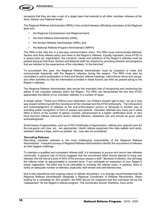

recognize that they are also a part of a larger team that extends to all other volunteer referees at the Area, Section and National levels.

The Regional Referee Administrator (RRA) is the conduit between officiating volunteers at the Regional level and:

- the Regional Commissioner and Regional board,
- the Area Referee Administrator (ARA),
- the Section Referee Administrator (SRA), and
- the National Referee Program Administrator (NRPA)

The RRA is the vital link in a two-way communication chain. The RRA must communicate National, Section and Area referee policy and news to the Region's referees. Equally important, since AYSO is a "grass-roots up" organization, the concerns, needs and problems of the Region's referees must be passed along so that Area, Section and National staff can respond by providing direction and programs that are tailored to the experiences of the volunteers "in the trenches".

To accomplish this goal, the Regional Referee Administrator must be prepared to meet and communicate frequently with the Region's referees during the season. The RRA must also be committed to active participation in Area and Section referee meetings, instructional clinics and camps, and other activities so that the information provided in these forums can then be passed along to the Region's referees.

The Regional Referee Administrator also serves the important role of recognizing and reinforcing the efforts of the volunteer referees within the Region. The RRA can demonstrate the fact that AYSO appreciates the efforts of our volunteer referees in a number of ways:

A simple verbal: "Thank you! Without your dedication, our children wouldn't get to play" can go a long way toward reinforcing both the importance of the volunteer and the AYSO philosophy. The introduction and acknowledgment of referees at the end-of-the-season picnics or banquets is another way of providing public recognition in front of players and parents. Volunteer referees who have put in extra effort in terms of the number of games covered, advancement to a higher certification level, or who have become referee instructors and/or referee Mentors, assessors can and should be given extra acknowledgment.

Small tokens of appreciation, such as AYSO Certificates of Appreciation, referee pins, special coins for the pre-game coin toss, etc., are appropriate. Useful referee equipment like data wallets and cards, assistant referee's flags, warm-up jackets, etc., may also be considered.

#### **Recruiting Referees**

Recruiting volunteer referees is the most challenging responsibility of the Regional Referee Administrator. Frequent surveys of Regional Referee Administrators identify the recruitment of referees as their biggest challenge.

To maintain a qualified and competent referee staff, it is necessary to pursue and recruit new referees continually. A general rule of thumb suggests that the recruitment effort should attempt to bring new referees into the fold at a level of 50% of the previous season's staff. Because of attrition, this will keep the referee roster at approximately a constant level. If you anticipate an expansion of your Region's player registration, the effort has to be intensified to increase the referee corps. In general, there is rarely an adequate number of referees, especially well-versed and well-trained ones.

Due to the importance and ongoing nature of referee recruitment, it is strongly recommended that the Regional Referee Administrator designate a Regional Coordinator of Referee Recruitment. When looking for a candidate for this position, the RRA should be cognizant that this individual will be the "salesperson" for the Region's referee program. The coordinator should, therefore, have some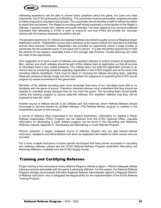

refereeing experience and be able to answer basic questions about the game, the Laws and most importantly, the AYSO philosophy of officiating. The coordinator must be personable, outgoing and able to make prospective volunteers feel at ease. The coordinator should develop a staff of referee recruiters to assist with recruitment. The Region's recruiting staff should represent a cross-section of the Region's referees. It should include men, women and youth referees. The main objective is to convince potential volunteers that refereeing in AYSO is open to everyone and that AYSO will provide the volunteer referee with the training necessary to perform the job.

The greatest opportunity for referee and assistant referee recruitment usually occurs at Regional player registration events. Registration occurs well in advance of the season before the calendars of potential recruits have become crowded. Registration also provides an opportunity where a large number of individuals can be contacted easily in one place and in person. It is also the perfect opportunity to meet the parents of new players, especially those in the younger age divisions. Careful planning can make the most of this opportunity.

One suggestion is to have a team of referees and assistant referees in uniform present at registration. Men, women and youth referees should be part of this referee team at registration so that all sources of volunteers have a very visible presence. The referee team can help the registration process in an indirect way by answering questions regarding registration or the AYSO program and at the same time recruiting referee candidates. Care must be taken in choosing the referee recruiting team, selecting those who present a friendly image and who can explain the enjoyment of supporting the AYSO soccer program by actual involvement in the game itself.

Members of the referee recruiting team must remember that many of our volunteers have little or no familiarity with the game of soccer. Therefore, potential referees must understand that they should not hesitate to volunteer simply because they do not know the game. The recruiting team should briefly outline the training program to assure potential referees and assistant referees that they will be prepared to take the "pitch".

Another source of referee recruits is 8U Officials and club linesmen, whom Referee Mentors should encourage to become trained as certified referees. (The Referee Mentor program is outlined in the Assessment section of this manual.)

A source of referees often overlooked is the players themselves. Information on starting a Player Referee Organization (PRO) Program can be obtained from the AYSO National Office. Valuable information on developing a youth referee program can be found in the *Recruiting and Retaining Referees* manual, Appendix 9: "Developing and Maintaining a Youth Referee Program."

Women represent a largely untapped source of referees. Women who are also trained referee instructors, assessors and administrators will serve as respected role models for other women who are recruited.

For a more in-depth discussion of some specific techniques that have proven successful in recruiting and retaining referees, please see the AYSO National Referee Program publication *Recruiting and Retaining Referees*, available from the AYSO Supply Center.

## Training and Certifying Referees

Proper training is the cornerstone of any effective Region's referee program. Without adequate referee training everyone associated with the game is adversely affected. For this reason, the National Referee Program strongly recommends that each Regional Referee Administrator appoint a Regional Director of Referee Instruction, who is delegated the responsibility for the implementation of the AYSO Referee Training Program.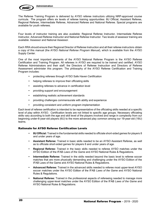

The Referee Training Program is delivered by AYSO referee instructors utilizing NRP-approved course curricula. The program offers six levels of referee training opportunities: 8U Official, Assistant Referee, Regional Referee, Intermediate Referee, Advanced Referee and National Referee. Special programs are available for youth referees.

Four levels of instructor training are also available: Regional Referee Instructor, Intermediate Referee Instructor, Advanced Referee Instructor and National Referee Instructor. Two levels of assessor training are available: Assessor and National Assessor.

Each RRA should ensure their Regional Director of Referee Instruction and all their referee instructors obtain a copy of this manual (the AYSO *National Referee Program Manual*), which is available from the AYSO Supply Center.

One of the most important elements of the AYSO National Referee Program is the AYSO Referee Certification and Training Program. All referees in AYSO are required to be trained and certified. AYSO Referee Administrators and their staff, the Directors of Referee Instruction and Directors of Referee Assessment administer this program. The philosophy of the AYSO Referee Certification and Training Program includes:

- protecting referees through AYSO Safe Haven Certification
- helping referees to improve their officiating skills
- assisting referees to advance in certification level
- providing support and encouragement
- establishing realistic achievement standards
- providing challenges commensurate with ability and experience
- providing consistent and uniform program implementation

Each level of referee certification is intended to be representative of the officiating skills needed at a specific level of play within AYSO. Certification levels are not linked to specific age groups. Necessary officiating skills vary according to both the age and skill level of the players involved and range in complexity from our beginning under-6-year-old players (6U) to the more advanced play common among our 19-year-old (19U) teams.

#### Rationale for AYSO Referee Certification Levels

- **8U Official:** Trained in the fundamental skills needed to officiate short-sided games for players 8 and under years of age.
- **Assistant Referee:** Trained in basic skills needed to be an AYSO Assistant Referee, as well as to officiate short-sided games for players 8 and under years of age.
- **Regional Referee:** Trained in the basic skills needed to referee AYSO matches under the AYSO Edition of the IFAB *Laws of the Game* and AYSO National Rules & Regulations.
- **Intermediate Referee:** Trained in the skills needed beyond the basic level to referee soccer matches that are more physically demanding and challenging under the AYSO Edition of the IFAB Laws of the Game and AYSO National Rules & Regulations.
- **Advanced Referee:** Trained in the advanced skills needed to referee most upper-level AYSO soccer matches under the AYSO Edition of the IFAB *Laws of the Game* and AYSO National Rules & Regulations.
- **National Referee:** Trained in the professional aspects of refereeing needed to manage more challenging upper-level matches under the AYSO Edition of the IFAB *Laws of the Game* and AYSO National Rules & Regulations.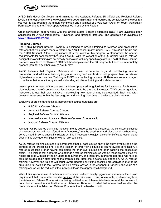

AYSO Safe Haven Certification and training for the Assistant Referee, 8U Official and Regional Referee levels is the responsibility of the Regional Referee Administrator and requires the completion of the required courses. It also requires the annual completion and submittal of a Volunteer (Adult or Youth) Application Form according to the AYSO-approved method in use by the Region.

Cross-certification opportunities with the United States Soccer Federation (USSF) are available upon application for AYSO Intermediate, Advanced, and National Referees. The application is available on www.AYSOvolunteers.org.

#### **Training Courses**

The AYSO National Referee Program is designed to provide training to referees and prospective referees that will prepare them to referee an AYSO soccer match under IFAB *Laws of the Game* and the AYSO National Rules & Regulations. It is the intent of this program to standardize the course requirements for consistency throughout AYSO. With the exception of the 8U Official training, referee designations and training are not directly associated with any specific age group. The 8U Official Course prepares volunteers to officiate AYSO matches for players in the 8U program but does not adequately prepare them for any other level of AYSO play.

AYSO believes that Regional Referees with match experience, physical conditioning, mental preparation and additional training (upgrade training and certification) will prepare them to referee higher-level soccer matches. Training in AYSO is a continuing process. All Referees are encouraged to continue their education by annually attending additional training and update sessions.

Lesson plans for each of the courses have been prepared as guidelines for instructors. Each lesson plan indicates the referee instructor level necessary to be the lead instructor. AYSO encourages lead instructors to use their own initiative in developing how material may be presented. Each instructor however, must ensure that the lesson goals and learning objectives of the lesson plans are met.

Exclusive of breaks (and testing), approximate course durations are:

- 8U Official Course: 3 hours
- Assistant Referee Course: 5 hours
- Regional Referee Course: 6 hours
- Intermediate and Advanced Referee Courses: 8 hours each
- National Referee Course: 15 hours

Although AYSO referee training is most commonly delivered as whole courses, the constituent classes of the courses, sometimes referred to as "modules," may be used for stand-alone training where they serve a need. In some cases, instructors will find it necessary to adjust the content of class lesson plans used in this way due to implicit or explicit prerequisites.

AYSO referee training courses are incremental; that is, each course above the entry level builds on the content of the preceding one. For this reason, in order for a course to count toward certification, a referee must take it after having completed the prior-level course and after passing the associated exam. This implies that a referee who attends a referee training course without these prerequisites will not be credited with satisfying an upgrade requirement, and therefore, in order to upgrade, will have to take the course again after fulfilling the prerequisites. Note, that anyone may attend any AYSO referee training; however, the training will count toward upgrade only if the specified prerequisite is met at the time. (See full details in the Referee Training Matrix located in the Appendix.) Naturally, the value of a training course will be reduced if the individual lacks the appropriate background.

While training courses must be taken in sequence in order to satisfy upgrade requirements, there is no requirement that course attendees be certified at the prior level. Thus, for example, a referee may take the Advanced Referee Course without being certified as an Intermediate Referee, and the course will count toward eventual certification as an Advanced Referee provided that referee had satisfied the prerequisite for the Advanced Referee Course at the time he/she took it.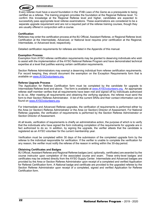

#### **Administration**

Every referee must have a sound foundation in the IFAB *Laws of the Game* as a prerequisite to being certified as a referee. The training program provides the foundation at the Regional Referee level. To confirm this knowledge at the Regional Referee level and higher, candidates are expected to successfully pass appropriate level referee examinations. These examinations are considered to be a separate upgrade requirement and are not a required part of the referee training courses, though they are usually offered in conjunction with a course.

#### **Certification**

Referees may enter the certification process at the 8U Official, Assistant Referee, or Regional Referee level. Certification at the Intermediate, Advanced, or National level requires prior certification at the Regional, Intermediate, or Advanced level, respectively.

Detailed certification requirements for referees are listed in the Appendix of this manual.

#### **Exemption Process**

Exemption from AYSO referee certification requirements may be granted to deserving individuals who wish to assist with the implementation of the AYSO National Referee Program and have demonstrated technical expertise at a level that justifies waiving certain certification requirements.

Section Referee Administrators may exempt a deserving individual from referee certification requirements. For record keeping, they should document the exemption on the Exception Requirements form that is available on www.AYSOvolunteers.org.

#### **Referee Upgrade Process**

The Application for Referee Certification form must be completed by the candidate for upgrade to Intermediate Referee level and above. The form is available at www.AYSOvolunteers.org. An appropriate referee staff member verifies that all requirements have been met and signed off by individuals authorized to do so. After meeting all requirements and obtaining the verifying signature, the referee must send the form to their Section Referee Administrator. A list of the current SRAs and their contact information can be found on www.AYSOvolunteers.org.

For Intermediate and Advanced Referee upgrades, the verification of requirements is performed either by the Area (or Section) Referee Administrator or the Area (or Section) Director of Assessment. For National Referee upgrades, the verification of requirements is performed by the Section Referee Administrator or Section Director of Assessment.

At all levels, verification of requirements is chiefly an administrative action, the purpose of which is to verify that the individuals who have signed the form indicating completion of the requirements for upgrade are in fact authorized to do so. In addition, by signing the upgrade, the verifier attests that the candidate is registered as an AYSO volunteer for the current membership year.

Verification must be completed within 30 days of the submission of the completed upgrade form by the referee to the individual responsible for verification. If the verifier is unable to complete the verification for any reason, the verifier must notify the referee of the reason in writing within the 30-day period.

#### **Obtaining Certificates and Badges**

8U Official, Assistant Referee and Regional Referee badges (and, optionally, certificates) are awarded by the course instructor upon completion of the associated course and exam. These entry-level badges and certificates may be ordered directly from the AYSO Supply Center. Intermediate and Advanced badges are provided by the Area or Section Referee Administrator upon receipt of a completed and verified Application for Referee Certification form. A National badge and certificate are provided to the upgraded referee by the Section Referee Administrator upon receipt of a completed, signed and verified Application for Referee Certification form.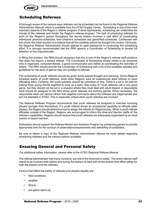

## Scheduling Referees

A thorough review of the various ways referees can be scheduled can be found in the *Regional Referee Administrator Manual*, which is available from the AYSO Supply Center. Scheduling is one of the most important aspects of the Region's referee program. If done haphazardly, scheduling can undermine the morale of the referees and hinder the Region's referee program. The task of scheduling referees for each of the Region's games throughout the soccer season involves a vast effort of coordinating individuals' personal schedules, their children's schedules and game/field schedules. Confronted with this chore, the initial reaction is to believe that all the variables cannot be brought into control. Obviously, the Regional Referee Administrator should attempt to seek assistance in conducting the scheduling effort. It is strongly recommended that the RRA appoint a Coordinator of Scheduling to devote full attention to this important task.

In filling this position, the RRA should recognize that this is one of the Region's referee staff positions that does not require a trained referee. The Coordinator of Scheduling simply needs to be someone who is organized, computer-literate, a good communicator and skilled at coordinating the activities of others. The RRA should provide the Coordinator of Scheduling with a list of the available referees and guidelines for the level of games they are qualified to officiate.

The scheduling of youth referees should be given some special thought and planning. Some Regions schedule teams of youth referees, while other Regions want an experienced adult referee on each officiating team. Certainly, the youth referees should be consulted on this. There is a lot to be said for putting three young friends together to work as a team: they enjoy it! Youth referees call a very good game, but they should not be put in a situation where they must deal with adult dissent. A responsible adult should be assigned to the field where youth referees are working games. When necessary, the responsible adult can remind others that negative comments about the referees are inappropriate and are not tolerated in AYSO. This is especially critical when youth referees are involved.

The National Referee Program recommends that youth referees be assigned to matches involving players younger than themselves. If a youth referee shows an exceptional capability to officiate older players, the Region should determine how to assign the referee for Regional play. When a youth referee officiates outside of the Region, Regions are encouraged to inform the Area and Section staffs of the referee's capabilities. Regions should assure that youth referees are adequately supervised by an adult mentor or board member.

Schedulers should support the Referee Mentor and Assessor Program by scheduling games to provide appropriate time for the conduct of observations/assessments and debriefing of candidates.

Be sure to obtain a copy of the *Regional Referee Administrator Manual* for more details regarding scheduling referees and the various options available.

## Ensuring General and Personal Safety

For additional safety information, please refer to the AYSO *Regional Referee Manual.*

The referee administrator has many concerns, but one of the foremost is safety. The entire referee staff needs to be involved both before and during the season to deal with all the factors that affect safety for both the players and the referees.

Factors that affect the safety of referees and players equally are:

- field conditions
- weather
- **fitness**
- pre-game warm-up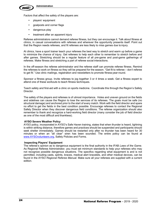

Factors that affect the safety of the players are:

- players' equipment
- goalposts and corner flags
- dangerous play
- treatment after an apparent injury

Referee administrators cannot demand referee fitness, but they can encourage it. Talk about fitness at clinics, in casual conversations with referees and wherever the opportunity presents itself. Point out that the Region needs referees, and fit referees are less likely to miss games due to injury.

At clinics, have a sport trainer teach your referees the best way to stretch and warm up before a game to minimize the chance of injury. Get referees to help each other to remember to stretch before and after games. Stretching should be a regular feature of all pre-game and post-game gatherings of referees. Make fitness and stretching a part of referee social interactions.

In the off-season the referee administrator and the referee staff can promote referee fitness. Remind the referees to work on fitness so they will be prepared for the season. "Get fit to referee – don't referee to get fit." Use clinic mailings, registration and newsletters to promote fitness year-round.

Sponsor a fitness group. Invite referees to jog together 3 or 4 times a week. Get a fitness expert to attend one of these workouts to teach fitness techniques.

Teach safety and first-aid with a clinic on sports medicine. Coordinate this through the Region's Safety Director.

The safety of the players and referees is of utmost importance. Holes and uneven ground on the fields and sidelines can cause the Region to lose the services of its referees. The goals must be safe (no structural damage) and anchored prior to the start of every match. Work with the field director and spare no effort to get the fields in the best condition possible. Encourage referees to contact the Regional Safety Director when they discover dangerous field conditions. The referee organization should also remember to thank and recognize a hard-working field director (many consider the job of field director as one of the most difficult and thankless).

#### **AYSO Severe Weather Policy**

AYSO policy, incorporated in AYSO's Safe Haven training, states that when thunder is heard, lightning is within striking distance, therefore games and practices should be suspended and participants should seek shelter immediately. Games should be restarted only after no thunder has been heard for 30 minutes or when an "all clear" siren has been sounded. The entire policy can be found at www.AYSOvolunteers.org, Safety Policies and Forms.

#### **Inspecting Players' Equipment**

The referee's opinion as to dangerous equipment is the final authority in the IFAB *Laws of the Game*. As Regional Referee Administrator, you must set minimum standards to help your referees who may not recognize possible dangerous situations. The specifics regarding what equipment is and is not permitted, including casts, splints, braces, medical alert bracelets, and other medical devices, can be found in the AYSO *Regional Referee Manual*. Make sure all your referees are supplied with a current edition.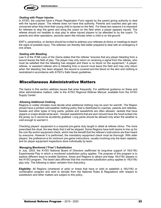

#### **Dealing with Player Injuries**

In AYSO, the coaches have a Player Registration Form signed by the parent giving authority to deal with the injured player. The referee does not have that authority. Parents and coaches also get very concerned when they think their young child is injured on the field. For these two reasons it is important for referees to stop the game and bring the coach on the field when a player appears injured. The referee should not hesitate to stop play to allow injured players to be attended to by the coach. To parents and other spectators, seconds seem like minutes when a child is on the ground.

EMT's, paramedics, or doctors should be invited to address your referees at clinics or meetings to teach the signs of possible injury. The referees can thereby feel better prepared to deal with an emergency if one arises.

#### **Dealing with Bleeding**

Law 5 of the IFAB *Laws of the Game* states that the referee "ensures that any player bleeding from a wound leaves the field of play. The player may only return on receiving a signal from the referee, who must be satisfied that the bleeding has stopped and there is no blood on the equipment." A player, referee, or assistant referee who is bleeding from a wound must leave the field and may only return when the bleeding has been stopped, the wound is covered and the blood on the skin and clothing is neutralized in accordance with AYSO's Safe Haven guidelines.

### Miscellaneous Administrative Matters

The topics in this section address issues that arise frequently. For additional guidance on these and other administrative matters, refer to the AYSO *Regional Referee Manual*, available from the AYSO Supply Center.

#### **Allowing Additional Clothing**

Regions in colder climates must decide what additional clothing may be worn for warmth. The Region should have a printed cold-weather clothing policy that is distributed to coaches, parents and referees. Sweats and other types of long pants, jackets and sweatshirts are often allowed. Jackets that have zippers or snaps should not be worn. Hooded sweatshirts that are worn should have the hood tucked into the jersey so it cannot be accidently grabbed. Long pants should be allowed only when the weather is cold enough to warrant it.

Checking players' equipment is a required pre-game duty taught in detail at referee clinics. The more prescribed the ritual, the less likely that it will be skipped. Some Regions have both teams to line up for the coin flip and/or equipment check, which has the benefit that the referee's instructions are then heard by everyone. However it is performed, the mandatory equipment check must be thorough. With older players, the preference is for minimum pre-game instructions, usually involving only the team captains, and for player equipment inspections done individually by team.

#### **Managing Monitored ("Free") Substitution**

In July, 2003, the AYSO National Board of Directors reaffirmed its long-time support of 16U/19U Experimental Play in which a monitored substitution policy applies. The purpose of this program is to explore different ways to enable Sections, Areas and Regions to attract and keep 16U/19U players in the AYSO program. The board also affirmed that this monitored substitution policy applies to 16U/19U play only. The following is taken verbatim from that policy.

**Eligibility:** All Regions (chartered or pilot) or Areas that have or wish to establish a 16U/19U or combination program and wish to deviate from the National Rules & Regulations with respect to substitution and other matters are subject to this policy.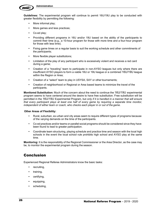

**Guidelines:** The experimental program will continue to permit 16U/19U play to be conducted with greater flexibility by permitting the following:

- More informal play;
- More games and less practices;
- Co-ed play;
- Providing different programs in 16U and/or 19U based on the ability of the participants to commit their time (e.g., a 10-hour program for those with more time and a four-hour program for those with less time).
- Fixing game times on a regular basis to suit the working schedule and other commitments of the participants;
- More flexible player substitutions;
- Limitation of the play of any participant who is excessively violent and receives a red card during a game;
- Creation of a "traveling" team to participate in non-AYSO leagues but only where there are insufficient AYSO players to form a viable 16U or 19U league or a combined 16U/19U league within the Region or Area;
- Creation of a "select" team to play in USYSA, SAY or other tournaments;
- Creation of neighborhood or Regional or Area based teams to minimize the travel of the participants.

**Monitored Substitution:** Much of the concern about the need to continue the 16U/19U experimental program seems to have centered around the desire to have free substitution. Free substitution will be permitted in the 16U/19U Experimental Program, but *only if it is handled in a manner that will ensure that every participant plays at least one half of every game by requiring a separate time monitor, independent of either team or coach, who checks each player in or out of the game*.

#### **Other Areas of Flexibility:**

- Rural, suburban, ex-urban and city areas seem to require different types of programs because of the varying demands on the time of the participants.
- Co-ed practices and/or teams or parallel social programs should be considered since they have been found to lead to greater participation.
- Coordinate team structuring, playing schedule and practice time and season with the local high schools in the event the local school rule prohibits high school and AYSO play at the same time.

**Monitoring:** It is the responsibility of the Regional Commissioner or the Area Director, as the case may be, to monitor the experimental program during the season.

## Conclusion

Experienced Regional Referee Administrators know the basic tasks:

- recruiting,
- training,
- certifying,
- equipping,
- scheduling,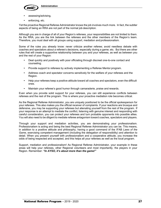

- assessing/advising,
- enforcing, etc.

Yet the proactive Regional Referee Administrator knows the job involves much more. In fact, the subtler aspects of being an RRA are not part of the normal job description.

Although you are in charge of all of your Region's referees, your responsibilities are not limited to them. As the RRA, you are the link between the referees and the other members of the Region's team. Therefore, you must deal with all groups using support, mediation and professionalism.

Some of the rules you already know: never criticize another referee; avoid needless debate with coaches and spectators about a referee's decisions, especially during a game; etc. But there are other rules that will create a supportive relationship between you and your referees, as well as between you and the rest of your Region:

- Deal quickly and positively with poor officiating through discreet one-to-one contact and counseling.
- Provide support to referees by actively implementing a Referee Mentor program.
- Address coach and spectator concerns sensitively for the welfare of your referees and the Region.
- Help your referees keep a positive attitude toward all coaches and spectators, even the difficult ones.
- Maintain your referee's good humor through camaraderie, praise and rewards.

Even when you provide solid support for your referees, you can still experience conflicts between referees and the rest of the program. This is where your proactive mediation role becomes critical.

As the Regional Referee Administrator, you are uniquely positioned to be the official spokesperson for your referees. This also makes you the official receiver of complaints. If your reactions are brusque and defensive, you may be supporting your referees but alienating yourself from the rest of the program. If your response is an attempt to mediate the conflict, listening with genuine interest and responding with careful consideration, you can protect your referees and turn probable opponents into possible allies. You will also need to be diligent to mediate referee antagonism toward coaches, spectators and players.

Through your support and mediation activities, you are demonstrating your professionalism. Professionalism is acting and being the best Regional Referee Administrator you can be. This means, in addition to a positive attitude and philosophy, having a good command of the IFAB *Laws of the Game*, exercising competent management (including the delegation of responsibility) and attention to detail. When you present yourself with professionalism and a cooperative attitude, you increase the odds of being respected and accepted, and this helps all your referees as well as the local program.

Support, mediation and professionalism! As Regional Referee Administrator, your example in these areas will help your referees, other Regional volunteers and most importantly, the players in your Region. Remember: *"In AYSO, it's about more than the game!"*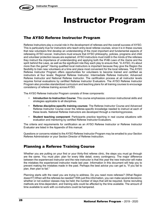

## Instructor Program

## The AYSO Referee Instructor Program

Referee Instructors play a crucial role in the development of referees and the overall success of AYSO. This is particularly true for instructors who teach entry-level referee courses, since it is in these courses that new volunteers first develop an understanding of the most important and fundamental aspects of refereeing AYSO soccer. Instructors must ensure that AYSO philosophy, policies, programs and child and volunteer protection issues are explained. AYSO instructors must instill in the minds of the referees they instruct the importance of understanding and applying both the IFAB *Laws of the Game* and the spirit behind the Laws, as well as the significant role they each play to ensure that, "In AYSO, it's about more than the game!" Having qualified local instructors is important because they give the Region the flexibility to train new volunteers at a time and place most convenient for the local referees. The AYSO Referee Instructor Program offers opportunities for volunteers to become trained and certified as instructors at four levels: Regional Referee Instructor, Intermediate Referee Instructor, Advanced Referee Instructor and National Referee Instructor. The certification process at all instructor levels requires formal evaluations by certified Referee Instructor Evaluators. The AYSO Referee Instructor Program also provides standardized curriculum and teaching plans for all training courses to encourage consistency of referee training acrossAYSO.

The AYSO Referee Instructor Program consists of three components:

- **Introduction to Instruction Course**: This course emphasizes common instructional skills and strategies applicable to all disciplines.
- **Referee discipline-specific training courses**: The Referee Instructor Course and Advanced Referee Instructor Course cover the referee-specific knowledge needed to instruct at each of these levels. National Referee Instructors are developed through a mentoring process.
- **Student teaching component**: Participants practice teaching in real course situations with evaluation and mentoring by certified Referee Instructor Evaluators.

The criteria and requirements for certification as an AYSO Referee Instructor or Referee Instructor Evaluator are listed in the Appendix of this manual.

Questions or concerns related to the AYSO Referee Instructor Program may be emailed to your Section Referee Administrator or your Section Director of Referee Instruction.

## Planning a Referee Training Course

Whether you are putting on your first or your thirty-first referee clinic, the steps you must go through are the same. You must plan: plan for every little detail, every contingency. The major difference between the experienced instructor and the new instructor is that this year the new instructor will make the mistakes the experienced instructor made last year. Information in this document will help you to prevent making the mistakes made in the past. Perhaps the best advice you can get is, "If you fail to plan, then plan to fail."

Planning starts with the need you are trying to address. Do you need more referees? (What Region doesn't?) When will the referees be needed? With just this information, you can make several decisions: whether or not outdoor classes may be held; the number of days that will be required. Some recruiting methods are time-dependent, and training aids could be affected by the time available. The amount of time available to work with co-instructors could be hampered.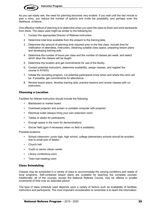

As you can easily see, the need for planning becomes very evident. If you wait until the last minute to plan a clinic, you reduce the number of options and invite the possibility, and perhaps even the likelihood, of failure.

One effective method of planning is to determine when you want the class to finish and work backwards from there. The steps used might be similar to the following list.

- 1. Contact the appropriate Director of Referee Instruction.
- 2. Determine total time available from the present to the training date.
- 3. Determine the amount of planning time required prior to the first class. Include time for notification of attendees, instructors, obtaining suitable class space, preparing lesson plans and developing training aids.
- 4. Determine the number of hours per class and the number of classes per week, and select which days the classes will be taught.
- 5. Determine the location and get commitments for use of the facility.
- 6. Contact potential instructors, determine availability, assign classes, and register the course in AYSOU.
- 7. Initiate the recruiting program. Let potential participants know when and where the clinic will be. If possible, get commitments for attendance.
- 8. Review lesson plans, develop training aids, practice lessons and review classes with coinstructors.

#### Choosing a Location

Facilities for referee instruction should include the following:

- Blackboard or marker board
- Overhead projector and screen or portable computer with projector
- Electrical outlet (always bring your own extension cord)
- Tables or desks for participants
- Enough space in the room for demonstrations
- Soccer field (gym if necessary when no field is available)

Possible locations:

- School classroom: junior high, high school, college (elementary schools should be avoided due to small size of desks)
- Church hall
- Youth or senior citizen center
- Library conference room
- Town hall meeting room

#### Class Scheduling

Classes may be scheduled in a variety of ways to accommodate the varying conditions and needs of local programs. Self-contained lesson plans are available for teaching the complete courses. Additionally, all of the courses, except the National Referee Course, may be offered in smaller increments of time over an extended period.

The type of class schedule used depends upon a variety of factors such as availability of facilities, instructors and participants. The most important consideration to remember is to teach the information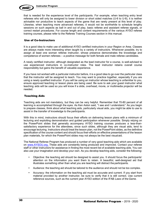

that is needed for the experience level of the participants. For example, when teaching entry level referees who will only be assigned to lower division or short sided matches (U-6 to U-8), it is neither advisable nor productive to teach aspects of the game that are rarely present at this level of play. Likewise, when teaching more advanced referees, it would not be worthwhile to schedule lengthy sessions on such aspects as ball in and out of play, basic referee and assistant referee signals, or correct restart procedures. For course length and content requirements of the various AYSO referee training courses, please refer to the Referee Training Courses section in this manual.

#### Use of Co-Instructors

It is a good idea to make use of additional AYSO certified instructors in your Region or Area. Classes are always made more interesting when taught by a variety of instructors. Whenever possible, try to assign at least one woman referee instructor, whose presence demonstrates the knowledge and competence of women referees – a positive message for both female and male referee candidates.

A newly certified instructor, although designated as the lead instructor for a course, is well-advised to use experienced instructors in co-instructor roles. The lead instructor retains overall course responsibility but gains the benefit of valuable experience.

If you have not worked with a particular instructor before, it is a good idea to go over the particular class that the instructor will be assigned to teach. You may want to practice together, especially if you are using a newly qualified instructor. If you will be using an instructor whose teaching is unfamiliar to you, ensure approved teaching or lesson plans are being used. Be sure to ask your guest instructor what teaching aids will be used so you will know if a slide, overhead, movie, or multimedia projector will be needed.

#### Teaching Aids

Teaching aids are not mandatory, but they can be very helpful. Remember that 70-80 percent of all learning is accomplished through the eyes. As Ken Aston said, "I see and I understand." As you begin to prepare classes, think about what teaching aids, particularly visual aids, you might be able to use to assist in the transfer of knowledge to the participants.

With this in mind, instructors should focus their efforts on delivering lesson plans with a minimum of lecturing and exploiting demonstration and guided participation whenever possible. Simply relying on the PowerPoint slides that generally accompany AYSO training courses produces a less-thansatisfactory experience for the attendees, since such slides, although they are visual aids, tend to encourage lecturing. Instructors should treat the lesson plan, not the PowerPoint slides, as the definitive specification of the course content and should focus their efforts on effective presentations of the lesson plan materials, for which the PowerPoint slides may not always be the best visualaid.

The National Referee Program has produced a number of very good teaching aids which are available on www.AYSOU.org. These aids are constantly being produced and improved. Contact your referee staff or other instructors for assistance in finding the most recent list of available teaching aids. You can also use your imagination and develop your own. As you develop teaching aids, consider the following:

- Objective: the teaching aid should be designed to assist you. It should focus the participants' attention on the information you want them to retain. A beautiful, well-designed aid that illustrates something other than what you are teaching will distract the participants.
- Audience: the teaching aid should be tailored to the audience and should not be too complex.
- Accuracy: the information on the teaching aid must be accurate and current. If you start from material provided by another instructor, be sure to verify that it is still correct. Use current reference sources, such as the current year AYSO edition of the IFAB *Laws of theGame*.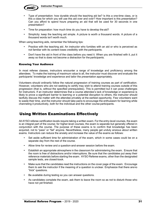



- Type of presentation: how durable should the teaching aid be? Is this a one-time class, or is this a class for which you will use this aid over and over? How important is this presentation? Can you afford to spend hours preparing an aid that will be used for 30 seconds in one presentation?
- Time for preparation: how much time do you have to develop the aid?
- Simplicity: keep the teaching aid simple. A picture is worth a thousand words. A picture of a thousand words isn't worth much.

When using teaching aids, remember the following tips:

- Practice with the teaching aid. An instructor who fumbles with an aid or who is perceived as not familiar with its content loses credibility with the participants.
- Don't have the aid in front of the class before you need it. When you are finished with it, put it away so that is does not become a distraction for the participants.

#### Knowing Your Audience

In most referee classes, instructors encounter a range of knowledge and proficiency among the attendees. To make the training of maximum value to all, the instructor must discover and evaluate the participants' knowledge and experience and tailor the presentation appropriately.

Volunteers should ordinarily follow the natural progression of training courses as part of certification. However, volunteers who are not seeking to certify may wish to attend training courses outside of this progression (that is, without the specified prerequisites). This is permitted but it can pose challenges for instructors. If an instructor determines that a course attendee's lack of knowledge or experience is likely to prove a significant barrier to learning or a potential disruption to others, the instructor should tactfully discuss the matter with the attendee privately at the earliest opportunity. Few volunteers want to waste their time, and the instructor should take pains to encourage the enthusiasm for learning while channeling it productively, both for the individual and the other course participants.

## Using Written Examinations Effectively

All AYSO referee certification levels require taking a written exam. For the entry-level courses, the exam is an integral part of the course; for higher-level courses, the exam is separate but generally offered in conjunction with the course. The purpose of these exams is to confirm that knowledge has been acquired, not to "pass" or "fail" anyone. Nevertheless, many people get unduly anxious about written exams. Instructors can reduce the anxiety and increase the value of the exams as follows:

- Set aside sufficient time for administration of the exam, which in some cases could be on a separate day from the rest of the course.
- Allow time for review and a question-and-answer session before the exam.
- Establish an appropriate atmosphere in the classroom for administering the exam. Ensure that the room is free of distractions and/or interruptions. Be sure that the candidates put away their reference materials before starting the exam. AYSO Referee exams, other than the designated sample tests, are closed-book.
- Make sure that the candidates read the instructions on the cover page of the exam. Encourage them to ask the instructor if the meaning of a question is unclear. Emphasize that there areno "trick" questions.
- Be available during testing so you can answer questions.
- As candidates complete the exam, ask them to leave the room so as not to disturb those who have not yet finished.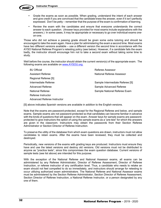

- Grade the exams as soon as possible. When grading, understand the intent of each answer and give credit if you are convinced that the candidate knew the answer, even if it isn't perfectly expressed. Don't be petty – remember that the purpose of the exam is confirmation of learning.
- Review the exam with the candidates and ensure that everyone understands the correct answer to each question. (Answer keys provided for most exams include explanations with the answers.) In some cases, it may be appropriate or necessary to go over individual exams oneon-one.

Those who did not achieve a passing grade should be given some extra tutoring and should be encouraged to take the exam again. Have a plan for administering the exam a second time. Most exams have two different versions available – use a different version the second time in accordance with the AYSO National Referee Program's retesting policy (see below). However, if a candidate fails the exam badly, the instructor should encourage him not to take a second exam without taking some time to study.

Well before the course, the instructor should obtain the current version(s) of the appropriate exam. The following exams are available on www.AYSOU.org:

| 8U Official                 | Referee Assessor                |
|-----------------------------|---------------------------------|
| Assistant Referee           | National Referee Assessor       |
| Regional Referee [S]        |                                 |
| Intermediate Referee        | Sample Intermediate Referee [S] |
| Advanced Referee            | Sample Advanced Referee         |
| National Referee            | Sample National Referee Exam    |
| Referee Instructor          |                                 |
| Advanced Referee Instructor |                                 |

[S] above indicates Spanish versions are available in addition to the English versions.

Note that the exams are password-protected, except for the Regional Referee and below, and sample exams. Sample exams are not password-protected so that candidates can become familiar in advance with the kinds of questions that will appear on the exam. Answer keys for sample exams are passwordprotected to give instructors the option of using the sample exams as a "pre-test" for which the answers are given in the classroom. Instructors may obtain the passwords from their Section Referee Administrator or Section Director of Referee Instruction.

To preserve the utility of the database from which exam questions are drawn, instructors must not allow candidates to retain exams. After the exams have been reviewed, they must be collected and destroyed.

Periodically, new versions of the exams with grading keys are produced. Instructors must ensure they have and use the latest versions and destroy old versions. Old versions must not be distributed to anyone as "practice tests", since this compromises the exam question database. Current versions of sample tests (see list above) are intended for this purpose.

With the exception of the National Referee and National Assessor exams, all exams can be administered by any Referee Administrator, Director of Referee Assessment, Director of Referee Instruction, or referee instructor of any certification level. Thus, a candidate who needs to retake an exam should not feel compelled to do so immediately, and instructors should arrange for retesting to occur utilizing authorized exam administrators. The National Referee and National Assessor exams must be administered by the Section Referee Administrator, Section Director of Referee Assessment, Section Director of Referee Instruction, a National Referee Instructor, or a person designated by any one of them.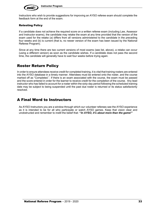

Instructors who wish to provide suggestions for improving an AYSO referee exam should complete the feedback form at the end of the exam.

#### Retesting Policy

If a candidate does not achieve the required score on a written referee exam (including Law, Assessor and Instructor exams), the candidate may retake the exam at any time provided that the version of the exam used for the retake (a) differs from all versions administered to the candidate in the preceding four weeks and (b) is current (that is, no newer version of the exam has been issued by the National Referee Program).

Since at any time there are two current versions of most exams (see list, above), a retake can occur (using a different version) as soon as the candidate wishes. If a candidate does not pass the second time, the candidate will generally have to wait four weeks before trying again.

## Roster Return Policy

In order to ensure attendees receive credit for completed training, it is vital that training rosters are entered into the AYSO database in a timely manner. Attendees must be entered onto the roster, and the course marked off as "Completed.". If there is an exam associated with the course, the exam must be passed and the score entered in order for the learner to receive credit for the completion of the course. Any lead instructor who has failed to account for a roster within the sixty-day period following the scheduled training date may be subject to being suspended until the past due roster is returned or its status satisfactorily resolved.

## A Final Word to Instructors

As AYSO Instructors you are a window through which our volunteer referees see the AYSO experience as it is intended to be for all who participate or watch AYSO games. Keep that vision clear and unobstructed and remember to instill the belief that: **"***In AYSO, it's about more than the game!"*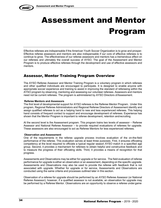



## Assessment and Mentor Program

Effective referees are indispensable if the American Youth Soccer Organization is to grow and prosper. Effective referee assessors and mentors are also indispensable if our core of effective referees is to continue to grow. The effectiveness of our referee assessors and mentors has a tremendous effect on our referees and ultimately the overall success of AYSO. The goal of the Assessment and Mentor Program is to produce effective referees through the development and use of effective assessors and mentors.

## Assessor, Mentor Training Program Overview

The AYSO Referee Assessor and Mentor Training Program is a voluntary program in which referees and other qualified individuals are encouraged to participate. It is designed to enable anyone with appropriate soccer experience and training to assist in improving the standard of refereeing within the AYSO program by observing, mentoring and assessing our volunteer referees. Assessors and mentors need not be current referees. The program is administered by AYSO Directors ofAssessment.

#### **Referee Mentors and Assessors**

The first level of developmental support for AYSO referees is the Referee Mentor Program. Under this program, Regional Referee Administrators and Regional Referee Directors of Assessment identify and assign qualified referees to act as a helping hand to new and less experienced referees. This helping hand consists of frequent contact to support and encourage development of referees. Experience has shown that the Mentor Program is important to referee development, retention andrecruiting.

At the second level is the Assessment program. This program trains two levels of assessor – Referee Assessor and National Referee Assessor – to provide required evaluations of referees for upgrade. These assessors are also encouraged to act as Referee Mentors for less experienced referees.

#### **Observation and Assessment**

One of the requirements in the referee upgrade process involves evaluation of the on-the-field performance of the referee. This evaluation serves at least three purposes. First, it ensures officiating competency at the level required to officiate a typical regular season AYSO match in a specified age group. Second, it provides a mechanism for referees to obtain helpful and constructive feedback and to measure the progress of their officiating skills. Third, it provides a means of recognition for that progress.

Assessments and Observations may be either for upgrade or for service. The field evaluation of referee performance for upgrade is either an observation or an assessment, depending on the specific upgrade. Assessments and Observations may also be used to provide the referee with feedback that is not associated with upgrade. Whether for upgrade or for service, Assessments and Observations are conducted using the same criteria and processes outlined later in this section.

Observation of a referee for upgrade should be performed by an AYSO Referee Assessor (or National Referee Assessor); however, if a qualified assessor is not available, an observation for upgrade may be performed by a Referee Mentor. Observations are an opportunity to observe a referee under game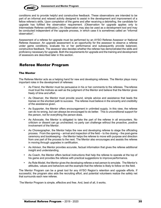

conditions and to provide helpful and constructive feedback. These observations are intended to be part of an informal and relaxed activity designed to assist in the development and improvement of a fellow referee's skills. Upon completion of the game and after receiving a debriefing, the candidate for upgrade has fulfilled the observation requirement. (Observation for upgrade applies only to Intermediate Referee certification.) An Observation may also be used as a development tool and may be conducted independent of the upgrade process, in which case it is sometimes called an "informal observation".

Assessment of a referee for upgrade must be performed by an AYSO Referee Assessor or National Referee Assessor. An upgrade assessment is an opportunity for the assessor to observe a referee under game conditions, evaluate his or her performance and subsequently provide balanced, constructive feedback. The assessor also decides whether the referee has demonstrated the skills and proficiency necessary for upgrade. Both the requirements for upgrade and the training and development of assessors are described later in this section.

## Referee Mentor Program

#### The Mentor

The Referee Mentor acts as a helping hand for new and developing referees. The Mentor plays many important roles in the development of referees:

- As Friend, the Mentor must be persuasive in his or her comments to the referees. Thereferee must trust the motives as well as the judgment of the Mentor and believe that the Mentor gives freely of time and effort.
- As Observer, the Mentor must provide sound, simple advice and assistance that leads the trainee on the shortest path to success. The referee must believe in the sincerity and credibility of the assistance given.
- As Supporter, the Mentor offers encouragement in unlimited supply. In this view, the referee can do no wrong, but can always be encouraged to do better. This is unconditional support for the person, not for everything the person does.
- As Advocate, the Mentor is obligated to take the part of the referee in all encounters. No criticism or dissent can go unchecked; no party can challenge without the proactive, positive involvement of the Mentor.
- As Choreographer, the Mentor helps the new and developing referee to stage the officiating process. From the opening – arrival and inspection of the field – to the closing – the post-game ceremony and bookkeeping – the Mentor helps the referee to move with purpose and direction from one part of the process to the next. The Mentor also encourages and assists the referee in moving through upgrades in certification.
- As Advisor, the Mentor provides accurate, factual information that gives the referee additional insight and understanding.
- As Coach, the Mentor offers tactical instructions that help the referee to operate at the top of his game and provides the referee with practical suggestions to improve performance.
- As Role Model, the Mentor gives the developing referee a real person to emulate. The Mentor's attitudes, values and behaviors set the example that the referee is likely to follow on the field.

The Mentor Program can be a great tool for any AYSO Region's retention and upgrade efforts. If successful, the program also aids the recruiting effort, and potential volunteers realize the safety net that surrounds each new referee.

The Mentor Program is simple, effective and free. And, best of all, it works.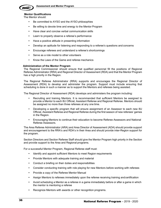

#### **Mentor Qualifications**

The Mentor should:

- Be committed to AYSO and the AYSO philosophies
- Be willing to devote time and energy to the Mentor Program
- Have clear and concise verbal communication skills
- Learn to properly observe a referee's performance
- Have a positive attitude in presenting information
- Develop an aptitude for listening and responding to a referee's questions and concerns
- Encourage referees and understand a referee's shortcomings
- Serve as a role model to other volunteers
- Know the Laws of the Game and referee mechanics

#### **Administration of the Mentor Program**

The Regional Commissioner should ensure that qualified personnel fill the positions of Regional Referee Administrator (RRA) and Regional Director of Assessment (RDA) and that the Mentor Program has a high priority in the Region.

The Regional Referee Administrator (RRA) supports and encourages the Regional Director of Assessment (RDA) to develop and administer the program. Support must include ensuring that scheduling is done in such a manner as to support the Mentors and referees being assisted.

The Regional Director of Assessment (RDA) develops and administers the program including:

- Recruiting and training Mentors. It is recommended that sufficient Mentors be assigned to provide a Mentor to each 8U Official, Assistant Referee and Regional Referee. Mentors should be assigned no more than three referees at any one time.
- Developing a specific program that will ensure assignment of an Assessor to each new 8U Official, Assistant Referee and Regional Referee during the first season of new referees' games in the Region.
- Encouraging Mentors to continue their education to become Referee Assessors and National Referee Assessors.

The Area Referee Administrator (ARA) and Area Director of Assessment (ADA) should provide support and encouragement to the RRA's and RDA's in their Area and should provide inter-Region support for the program.

Section Directors and Section Referee Staff should give the Mentor Program high priority in the Section and provide support to the Area and Regional programs.

For a successful Mentor Program, Regional Referee staff must:

- Identify and appoint sufficient Mentors to meet Region requirements
- Provide Mentors with adequate training and material
- Conduct a briefing on their duties and responsibilities
- Consider conducting training with role playing for new Mentors before working with referees
- Provide a copy of the Referee Mentor Manual
- Assign Mentors to referees immediately upon the referee receiving training andcertification
- Avoid scheduling a Mentor as a referee in a game immediately before or after a game in which the mentor is mentoring a referee
- Recognize Mentors with awards or other recognition programs.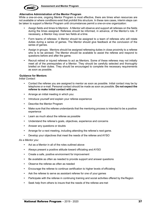

#### **Alternative Administration of the Mentor Program**

While a one-on-one, ongoing Mentor Program is most effective, there are times when resources are not available or where conditions exist that prohibit this structure. In these rare cases, interim steps can be taken to support a Mentor Program until circumstances permit a one-on-one organization:

- Assign fields and times to Mentors: A Mentor will observe and support all referees on the fields during the times assigned. Referees should be informed, in advance, of the Mentor's role. If necessary, a Mentor may cover two fields at a time.
- Form teams of referees: A Mentor should be assigned to a team of referees who will rotate duties during a series of games. The Mentor should give feedback at the conclusion of the series of games.
- Assign in groups: Mentors should be assigned refereeing duties in close proximity to a referee who is to be advised. The Mentor should be available to assist the referee and respond to questions before and after the game.
- Recruit retired or injured referees to act as Mentors. Some of these referees may not initially meet all of the prerequisites of a Mentor. They should be carefully selected and thoroughly briefed on their duties. They should be encouraged to complete the necessary requirements as soon as possible.

#### **Guidance for Mentors**

*Initial Contact:*

- Contact the referee you are assigned to mentor as soon as possible. Initial contact may be by telephone or e-mail. Personal contact should be made as soon as possible. **Do not expect the referee to make initial contact with you.**
- Arrange an initial meeting in which you:
- Introduce yourself and explain your referee experience
- Describe the Mentor Program
- Make sure that the referee understands that the mentoring process is intended to be a positive experience
- Learn as much about the referee as possible
- Understand the referee's goals, objectives, experience and concerns
- Answer any questions or doubts
- Arrange for a next meeting, including attending the referee's next game.
- Develop your objectives that meet the needs of the referee and AYSO

*As a Mentor you:*

- Act as a Mentor in all of the roles outlined above
- Always present a positive attitude toward officiating and AYSO
- Create a safe, positive environment for improvement
- Be available as often as needed to provide support and answer questions
- Observe the referee as often as needed
- Encourage the referee to continue certification to higher levels of officiating
- Ask the referee to serve as assistant referee for one of your games
- Participate with the referee in continuing training and social activities offered by the Region
- Seek help from others to insure that the needs of the referee are met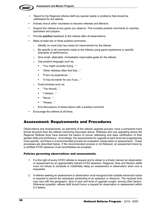

- Report to the Regional referee staff any special needs or problems that should be addressed for the referee
- Actively recruit other volunteers to become referees and Mentors
- Support the referee at any game you observe. This includes positive comments to coaches, spectators and players.
- Provide **positive** feedback to the referee after all observations:
- Make at least two or three positive comments
	- $\circ$  Identify no more than two areas for improvement by the referee
	- $\circ$  Be specific in all comments made to the referee using game experience or specific examples of performance.
	- o Give small, attainable, immediately improvable goals for the referee
	- o Use positive language such as:
		- "You might consider trying..."
		- "Other referees often find that..."
		- § "From my experience…"
		- § "It may be easier for you if you…"
	- o Avoid phrases such as:
		- "You should…"
		- "I always..."
		- § "Never…"
		- § "Always…"
	- o End discussions of observations with a positive comment
- Encourage the referee at all times.

### Assessment: Requirements and Procedures

Observations and Assessments, as elements of the referee upgrade process, have a somewhat more formal structure than the referee mentoring discussed above. Referees who are upgrading above the Regional Referee level have learned the basics of soccer refereeing and seek certification of their greater skills and proficiency. Accordingly, the requirements for upgrade at each level are progressively more specific, and there is a recommended process for evaluation (observation or assessment). These processes are described below. If the recommended process is not followed, an assessment done by a certified AYSO assessor must nevertheless be accepted.

#### Policies governing observations and assessments:

- 1. It is the right of every AYSO referee to request and to obtain in a timely manner an observation or assessment by an appropriately trained AYSO assessor. Regional, Area and Section staffs must not refuse to schedule or indefinitely delay an assessment or observation when one is requested.
- 2. A referee seeking an assessment or observation must recognize that suitable advanced notice is required to permit the necessary scheduling of an assessor or observer. The required time may vary with the geography, time of year and level of upgrade sought, among other factors. Whenever possible, referee staff should honor a request for observation or assessment within 2-3 weeks.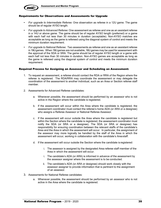

#### Requirements for Observations and Assessments for Upgrade

- *For upgrade to Intermediate Referee:* One observation as referee in a 12U game. The game should be of regular AYSO length.
- *For upgrade to Advanced Referee:* One assessment as referee and one as an assistant referee in a 14U or above game. The game should be of regular AYSO length (preferred) or a game with each half not less than 30 minutes in duration (acceptable). Non-AYSO matches are acceptable as long as the game is refereed using the diagonal system of control and meets the minimum duration requirement.
- *For upgrade to National Referee:* Two assessments as referee and one as an assistant referee in 19Ugames. When 19Ugames are not available, 16U games may be used for assessment with the approval of the SDA or SRA. The game should be of regular AYSO length or a game with each half not less than 30 minutes in duration. Non-AYSO games are acceptable as long as the game is refereed using the diagonal system of control and meets the minimum duration requirement.

#### Required Process for Assigning an Assessor and Scheduling an Assessment:

- 1. To request an assessment, a referee should contact the RDA or RRA of the Region where the referee is registered. The RDA/RRA may coordinate the assessment or may delegate the coordination of the assessment to another individual, such as an Area or Section referee staff member.
- 2. Assessments for Advanced Referee candidates:
	- a. Whenever possible, the assessment should be performed by an assessor who is not active in the Region where the candidate is registered.
	- b. If the assessment will occur within the Area where the candidate is registered, the assessment coordinator must contact the referee's home ADA (or ARA or a designee) who assigns a Referee Assessor or National Referee Assessor.
	- c. If the assessment will occur outside the Area where the candidate is registered but within the Section where the candidate is registered, the assessment coordinator must notify the SDA (or SRA or a designee). The SDA (or SRA or designee) has responsibility for ensuring coordination between the relevant staffs of the candidate's Area and the Area in which the assessment will occur. In particular, the assignment of the assessor may more logically be handled by the staff of the Area in which the assessment will occur, working in collaboration with the candidate's Areastaff.
	- d. If the assessment will occur outside the Section where the candidate is registered:
		- i. The assessor is assigned by the designated Area referee staff member of the Area in which the assessment will occur.
		- i. The candidate's ADA (or ARA) is informed in advance of the assessment by the assessor assigner where the assessment is to be conducted.
		- ii. The candidate's ADA (or ARA or designee) should work closely with the assessor assigner to provide information that is pertinent to the assignment of an assessor.
- 3. Assessments for National Referee candidates:
	- a. Whenever possible, the assessment should be performed by an assessor who is not active in the Area where the candidate is registered.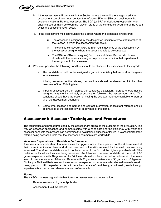

- b. If the assessment will occur within the Section where the candidate is registered, the assessment coordinator must contact the referee's SDA (or SRA or a designee) who assigns a National Referee Assessor. The SDA (or SRA or designee) responsibility for ensuring coordination between the relevant staffs of the candidate's Area and of the Area in which the assessment will occur.
- c. If the assessment will occur outside the Section where the candidate isregistered:
	- iii. The assessor is assigned by the designated Section referee staff member of the Section in which the assessment will occur.
	- iv. The candidate's SDA (or SRA) is informed in advance of the assessment by the assessor assigner where the assessment is to be conducted.
	- v. The SDA (or SRA or designee) from the candidate's Section should work closely with the assessor assigner to provide information that is pertinent to the assignment of an assessor.
- 4. Wherever possible the following conditions should be observed for assessments forupgrade:
	- a. The candidate should not be assigned a game immediately before or after the game to be assessed.
	- b. If being assessed as the referee, the candidate should be allowed to pick the other members of the officiating team.
	- c. If being assessed as the referee, the candidate's assistant referees should not be assigned a game immediately preceding or following the assessment game. The candidate should have the option of having the assistant referees available for part or all of the assessment debriefing.
	- d. Game time, location and names and contact information of assistant referees should be provided to the candidate well in advance of the game.

### Assessment: Assessor Techniques and Procedures

The techniques and procedures used by the assessor are critical to the outcome of the evaluation. The way an assessor approaches and communicates with a candidate and the efficiency with which the assessor conducts the process can determine the evaluations' success or failure. It is essential that the referee being assessed feels that the assessor's comments are worthwhile.

#### **Assessor Expectations of Candidate Performance**

Assessors must understand that candidates for upgrade are at the upper end of the skills required at their *current* certification level and at the lower end of the skills required for the level they are being assessed. Therefore, candidates should not be expected to perform at the highest possible level of the certification for which they are being assessed. An Advanced Referee candidate with a total of 50 games experience with 10 games at the 14U level should not be expected to perform with the same level of competence as an Advanced Referee with 90 games experience and 30 games in 16U games. Similarly, a National Referee candidate cannot be expected to perform at a level equal to a referee with many years of 19U experience. As with any benchmark of proficiency, continued growth through experience is expected as referees mature professionally.

#### **Forms**

The AYSOvolunteers.org website has forms for assessment and observation:

- Referee Assessor Upgrade Application
- Assessment Field Worksheet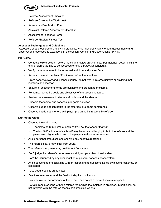

- Referee Assessment Checklist
- Referee Observation Worksheet
- Assessment Verification Form
- Assistant Referee Assessment Checklist
- Assessment Feedback Form
- Referee Physical Fitness Test

#### **Assessor Techniques and Guidelines**

Assessors should observe the following practices, which generally apply to both assessments and observations (see specific exceptions in the section "Concerning Observations", p. 44).

#### **Pre-Game**

- Contact the referee team before match and review ground rules. For instance, determine if the entire referee team is to be assessed or only a particular candidate.
- Verify name of referee to be assessed and time and place of match.
- Arrive at the match at least 30 minutes before the start time.
- Dress conservatively and inconspicuously (do not wear a referee uniform or anything that identifies an assessor).
- Ensure all assessment forms are available and brought to the game.
- Remember what the goals and objectives of the assessment are.
- Review the assessment criteria and understand the standard.
- Observe the teams' and coaches' pre-game activities
- Observe but do not contribute to the referees' pre-game conference.
- Observe but do not interfere with player pre-game instructions by referee.

#### **During the Game**

- Observe the entire game:
	- $\circ$  The first 5 or 10 minutes of each half will set the tone for that half.
	- $\circ$  The last 5-10 minutes of each half may become challenging to both the referee and the players as fatigue sets in and if the players feel pressure to score.
- Avoid personal prejudices and showing any negative reactions.
- The referee's style may differ from yours.
- The referee's judgment may be different from yours.
- Don't judge the referee's performance strictly on your view of an incident.
- Don't be influenced by any over-reaction of players, coaches or spectators.
- Avoid conversing or socializing with or responding to questions asked by players, coaches, or spectators.
- Take good, specific game notes.
- Feel free to move around the field but stay inconspicuous.
- Evaluate overall performance of the referee and do not overemphasize minor points.
- Refrain from interfering with the referee team while the match is in progress. In particular, do not interfere with the referee team's half-time discussions.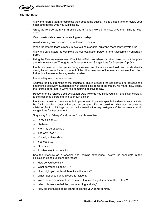

#### **After the Game**

- Allow the referee team to complete their post-game duties. This is a good time to review your notes and decide what you will discuss.
- Greet the referee team with a smile and a friendly word of thanks. Give them time to "cool down".
- Quickly establish a peer or consulting relationship.
- Avoid showing any reaction to the outcome of the match.
- When the referee team is ready, move to a comfortable, quietand reasonably private area.
- Allow the candidate(s) to complete the self-evaluation portion of the Assessment Verification Form.
- Using the Referee Assessment Checklist, a Field Worksheet, or other notes conduct the postgame interview (see "Thoughts on Assessment and Suggestions for Assessors", p. 54).
- If only one member of the team is being assessed and if you are asked to do so, quickly identify strengths and areas for improvement of the other members of the team and excuse them from further involvement unless agreed otherwise.
- Leave adequate time for discussion.
- Address the key strengths of the candidate. This is critical if the candidate is to perceive the experience positively. Substantiate with specific incidents in the match. No matter how poorly the referee performed, always find something positive to say.
- Respond to the referee's self-evaluation. Ask "How do you think you did?" and listen carefully to the response before offering your own opinion.
- Identify no more than three areas for improvement. Again use specific incidents to substantiate. Be frank, positive, constructive and encouraging. Do not dwell on what you perceive as mistakes. Try to pick things that can be improved in the very next game. Offer concrete, specific suggestions for improvement.
- Stay away from "always" and "never." Use phrases like:
	- o In my opinion …
	- o I believe ...
	- o From my perspective ...
	- $\circ$  The way I see it ...
	- o You might think about …
	- o You could …
	- o Others have ...
	- o Another way to accomplish …
- Use the interview as a teaching and learning experience. Involve the candidate in the discussion using questions like these:
	- o How do you see this?
	- o What do you think about …?
	- $\circ$  How might you do this differently in the future?
	- o What happened during a specific incident?
	- o Were there any moments in the match that challenged you more than others?
	- o Which players needed the most watching and why?
	- o How did the tactics of the teams challenge your game control?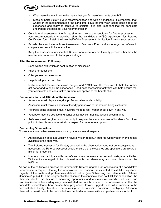

- $\circ$  What were the key times in the match that you felt were "moments of truth"?
- $\circ$  Close by politely stating your recommendation and with a handshake. It is important that, whatever the recommendation, the candidate leave the interview feeling good about the experience and ready to continue to officiate. It is also important that the candidate understand the basis for your recommendation.
- Complete all assessment the forms, sign and give to the candidate for further processing. If your recommendation is positive, sign the candidate's AYSO Application for Referee Certification form. Retain the lower half of the Assessment Verification Form for your records.
- Provide the candidate with an Assessment Feedback Form and encourage the referee to complete and submit the evaluation.
- Keep the assessment confidential. Referee Administrators are the only persons other than the referee team who need to know your findings.

#### **After the Assessment: Follow-up**

- Send written evaluation as confirmation of discussion
- Phone for questions
- Offer yourself as a resource
- Help develop an action plan
- Make sure that the referee knows that you and AYSO have the resources to help him or her get better and to enjoy the experience. Good post-assessment activities can help ensure that your comments and constructive criticism are applied to the benefit of all.

#### **Communication and Attitude of the Assessor**

- Assessors must display integrity, professionalism and cordiality
- Assessors must convey a sense of friendly persuasion to the referee being evaluated
- Referees being assessed must never be made to feel inferior or put down in any way
- Feedback must be positive and constructive advice not instructions or commands
- Referees must be given an opportunity to explain the circumstances of incidents from their point of view. Assessors must show respect for the referee's opinion.

#### **Concerning Observations**

Observations are unlike assessments for upgrade in several respects:

- An observation does not usually involve a written report. A Referee Observation Worksheet is available to the observer.
- The Referee Assessor (or Mentor) conducting the observation need not be inconspicuous. If necessary, the Referee Assessor should ensure that the coaches and spectators are aware of his or her presence.
- Mentors may participate with the referee, when necessary, in pre and post-game activities. While not encouraged, limited discussion with the referee may also take place during the halftime.

As part of the certification process for Intermediate Referee upgrade, an observation of a candidate's performance is required. During this observation, the candidate is expected to exhibit a significant majority of the skills and proficiencies defined below (see "Observing the Intermediate Referee Candidate", p. 45). If, in the judgment of the observer, the candidate does not fulfill this expectation, the observer should use this as a mentoring opportunity and communicate clearly what skills and proficiencies have been adequately demonstrated and which require further observation, so that the candidate understands how he/she has progressed toward upgrade and what remains to be demonstrated. Ideally, this should be in writing, so as to avoid confusion or ambiguity. Additional observation(s) will need to be conducted in order to demonstrate skills and proficiencies in order to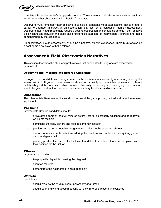

complete this requirement of the upgrade process. The observer should also encourage the candidate to ask for another observation when he/she feels ready.

Observers must remember their objective is to help a candidate meet expectations, not to create a barrier to upgrade. In particular, an observation is a less formal evaluation than an assessment. Observers must not unreasonably require a second observation and should do so only if they observe a significant gap between the skills and proficiencies expected of Intermediate Referees and those demonstrated by the candidate.

An observation, like an assessment, should be a positive, win-win experience. There **must** always be a post-game discussion with the referee.

### Assessment: Field Observation Narratives

This section describes the skills and proficiencies that candidates for upgrade are expected to demonstrate.

#### Observing the Intermediate Referee Candidate

Recognize that candidates are being advised on the elements to successfully referee a typical regular season AYSO 12U game. The observation should focus mainly on the abilities necessary to officiate matches beyond the basic level, which are more physically demanding and challenging. The candidate should be given feedback on his performance as an entry level Intermediate Referee.

#### Appearance

The Intermediate Referee candidates should arrive at the game properly attired and have the required equipment.

#### Pre-Game

Intermediate Referee candidates should:

- arrive at the game at least 30 minutes before it starts, be properly equipped and be ready to walk onto the field
- administer the field, players and field equipment inspection
- provide simple but acceptable pre-game instructions to the assistant referees
- demonstrate acceptable techniques during the coin toss and leadership in acquiring game cards and game ball
- properly position themselves for the kick-off and direct the referee team and the players as to their position for the kick-off

#### Fitness

In general, candidates:

- keep up with play while traveling the diagonal
- sprint as required
- demonstrate the rudiments of anticipating play

#### Attitude

Candidates:

- should practice the "AYSO Team" philosophy at all times
- should be friendly and accommodating to fellow referees, players and coaches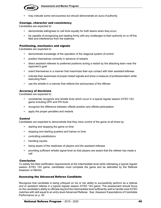

may indicate some nervousness but should demonstrate an aura of authority

#### Courage, character and consistency

Candidates are expected to:

- demonstrate willingness to call fouls equally for both teams when they occur
- be capable of recognizing and dealing firmly with any challenges to their authority on or off the field and interference from the sidelines

#### Positioning, mechanics and signals

Candidates are expected to:

- demonstrate knowledge of the operation of the diagonal system of control
- position themselves correctly in advance of restarts
- direct assistant referees to preferred positions during a restart by the attacking team near the opponent's goal
- orient themselves in a manner that maximizes their eye contact with their assistant referees
- indicate their awareness of proper restart signals and show a measure of professionalism while executing them
- use the whistle in a manner that reflects the seriousness of the offense

#### Accuracy of decisions

Candidates are expected to:

- consistently recognize and whistle fouls which occur in a typical regular season AYSO 12U game including DFK and IFK fouls
- recognize the difference between offside position and offside participation
- apply the proper penalties and restarts

#### Control

Candidates are expected to demonstrate that they have control of the game at all times by:

- starting and stopping the game on time
- stopping and starting quarters and halves on time
- controlling substitutions
- handling injuries
- being aware of the readiness of players and the assistant referees
- providing sufficient whistle signal level so that players are aware that the referee has made a call

#### Conclusion

To satisfy the field certification requirements at the Intermediate level while refereeing a typical regular season AYSO 12U game, candidates must complete the game and be debriefed by the Referee Assessor or Mentor.

#### Assessing the Advanced Referee Candidate

Recognize that candidate is being critiqued on his or her ability to successfully perform as a referee and or assistant referee in a typical regular season AYSO 14U game. The assessment should focus on the candidate's ability to officiate beyond the Intermediate level sufficiently well to handle most AYSO matches with skill equal to an entry-level Advanced Referee. See: Assessor Expectations of Candidate Performance on p. 40.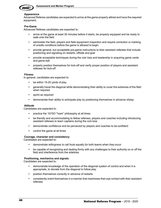

#### **Appearance**

Advanced Referee candidates are expected to arrive at the game properly attired and have the required equipment.

#### **Pre-Game**

Advanced Referee candidates are expected to:

- arrive at the game at least 30 minutes before it starts, be properly equipped and be ready to walk onto the field
- administer the field, players and field equipment inspection and require correction or marking of unsafe conditions before the game is allowed to begin
- provide general, but acceptable pre-game instructions to their assistant referees that include: positioning and signaling on restarts, offside and goal
- provide acceptable techniques during the coin toss and leadership in acquiring game cards and game ball
- properly position themselves for kick-off and verify proper position of players and assistant referees for kick-off

#### **Fitness**

In general, candidates are expected to:

- be within 15-20 yards of play
- generally travel the diagonal while demonstrating their ability to cover the extremes of the field when required
- sprint as required
- demonstrate their ability to anticipate play by positioning themselves in advance ofplay

#### **Attitude**

Candidates are expected to:

- practice the "AYSO Team" philosophy at all times
- be friendly and accommodating to fellow referees, players and coaches including introducing assistant referees to team captains during the coin toss
- demonstrate confidence and be perceived by players and coaches to be confident
- control the game at all times

#### **Courage, character and consistency**

Candidates are expected to:

- demonstrate willingness to call fouls equally for both teams when they occur
- be capable of recognizing and dealing firmly with any challenges to their authority on or off the field and interference from the sidelines

#### **Positioning, mechanics and signals**

Candidates are expected to:

- demonstrate knowledge of the operation of the diagonal system of control and when it is appropriate, to deviate from the diagonal to follow play
- position themselves correctly in advance of restarts
- consistently orient themselves in a manner that maximizes their eye contact with their assistant referees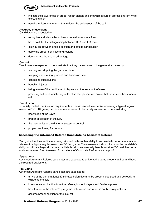

- indicate their awareness of proper restart signals and show a measure of professionalism while executing them
- use the whistle in a manner that reflects the seriousness of the call

#### **Accuracy of decisions**

Candidates are expected to:

- recognize and whistle less obvious as well as obvious fouls
- have no difficulty distinguishing between DFK and IFK fouls
- distinguish between offside position and offside participation
- apply the proper penalties and restarts
- demonstrate the use of advantage

#### **Control**

Candidates are expected to demonstrate that they have control of the game at all times by:

- starting and stopping the game on time
- stopping and starting quarters and halves on time
- controlling substitutions
- handling injuries
- being aware of the readiness of players and the assistant referees
- providing sufficient whistle signal level so that players are aware that the referee has made a call

#### **Conclusion**

To satisfy the field certification requirements at the Advanced level while refereeing a typical regular season AYSO 14U game, candidates are expected to be mostly successful in demonstrating:

- knowledge of the Laws
- proper application of the Law
- the mechanics of the diagonal system of control
- proper positioning for restarts

#### Assessing the Advanced Referee Candidate as Assistant Referee

Recognize that the candidate is being critiqued on his or her ability to successfully perform as assistant referees in a typical regular season AYSO 14U game. The assessment should focus on the candidate's ability to officiate beyond the Intermediate level to successfully handle most AYSO matches as an assistant referee. See: Assessor Expectations of Candidate Performance on p. 40.

#### **Appearance**

Advanced Assistant Referee candidates are expected to arrive at the game properly attired and have the required equipment.

#### **Pre-Game**

Advanced Assistant Referee candidates are expected to:

- arrive at the game at least 30 minutes before it starts, be properly equipped and be ready to walk onto the field
- in response to direction from the referee, inspect players and field equipment
- be attentive to the referee's pre-game instructions and when in doubt, ask questions
- assume proper position for the kick-off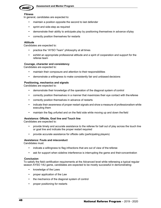

#### **Fitness**

In general, candidates are expected to:

- maintain a position opposite the second to last defender
- sprint and side-step as required
- demonstrate their ability to anticipate play by positioning themselves in advance ofplay
- correctly position themselves for restarts

#### **Attitude**

Candidates are expected to:

- practice the "AYSO Team" philosophy at all times
- exhibit an appropriate professional attitude and a spirit of cooperation and support for the referee team

#### **Courage, character and consistency**

Candidates are expected to:

- maintain their composure and attention to their responsibilities
- demonstrate a willingness to make consistently fair and unbiased decisions

#### **Positioning, mechanics and signals**

Candidates are expected to:

- demonstrate their knowledge of the operation of the diagonal system of control
- correctly position themselves in a manner that maximizes their eye contact with thereferee
- correctly position themselves in advance of restarts
- indicate their awareness of proper restart signals and show a measure of professionalism while executing them
- maintain the flag unfurled and on the field side while moving up and down the field

#### **Assistance: Offside, Goal line and Touch line**

Candidates are expected to:

- provide timely and accurate assistance to the referee for ball out of play across the touch line or goal line and indicate the proper restart required
- provide accurate assistance for offside calls (participating players)

#### **Assistance: Fouls and misconduct**

Candidates must:

- indicate a willingness to flag infractions that are out of view of the referee
- ask for support when sideline interference is interrupting the game and their concentration

#### **Conclusion**

To satisfy the field certification requirements at the Advanced level while refereeing a typical regular season AYSO 14U game, candidates are expected to be mostly successful in demonstrating:

- knowledge of the Laws
- proper application of the Law
- the mechanics of the diagonal system of control
- proper positioning for restarts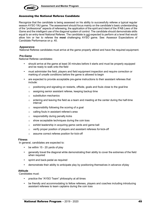

#### Assessing the National Referee Candidate

Recognize that the candidate is being assessed on his ability to successfully referee a typical regular season AYSO 19U game. The assessment should focus mainly on the candidate's basic understanding of the "professional" aspects of refereeing, the application of the spirit and intent of the IFAB *Laws of the*  Game and the intelligent use of the diagonal system of control. The candidate should demonstrate skills equal to an entry-level National Referee. The candidate is not expected to perform at a level that would allow him or her to referee the **most** challenging AYSO game. See: Assessor Expectations of Candidate Performance on p. 40.

#### **Appearance**

National Referee candidates must arrive at the game properly attired and have the required equipment.

#### **Pre-Game**

National Referee candidates:

- should arrive at the game at least 30 minutes before it starts and must be properly equipped and be ready to walk onto the field
- must administer the field, players and field equipment inspection and require correction or marking of unsafe conditions before the game is allowed to begin
- are expected to provide acceptable pre-game instructions to their assistant referees that include:
	- $\circ$  positioning and signaling on restarts, offside, goals and fouls close to the goal line
	- o assigning senior assistant referee, keeping backup time
	- o substitution mechanics
	- $\circ$  entering and leaving the field as a team and meeting at the center during the half-time interval
	- o responsibility following the scoring of a goal
	- o calling fouls in assistant referee's area
	- o responsibility during penalty kicks
	- o show acceptable techniques during the coin toss
	- o exhibit leadership in acquiring game cards and game ball
	- o verify proper position of players and assistant referees for kick-off
	- o assume correct referee position for kick-off

#### **Fitness**

In general, candidates are expected to:

- be within 15 20 yards of play
- generally travel the diagonal while demonstrating their ability to cover the extremes of the field when required
- sprint and back-pedal as required
- demonstrate their ability to anticipate play by positioning themselves in advance ofplay

#### **Attitude**

Candidates must:

- practice the "AYSO Team" philosophy at all times
- be friendly and accommodating to fellow referees, players and coaches including introducing assistant referees to team captains during the coin toss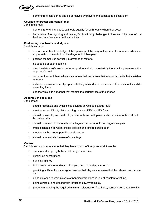

• demonstrate confidence and be perceived by players and coaches to be confident

#### **Courage, character and consistency**

Candidates must:

- demonstrate willingness to call fouls equally for both teams when they occur
- be capable of recognizing and dealing firmly with any challenges to their authority on or off the field and interference from the sidelines

#### **Positioning, mechanics and signals**

Candidates must:

- demonstrate their knowledge of the operation of the diagonal system of control and when it is appropriate, to deviate from the diagonal to follow play
- position themselves correctly in advance of restarts
- be capable of back-pedaling
- direct assistant referees to preferred positions during a restart by the attacking team near the opponent's goal
- consistently orient themselves in a manner that maximizes their eye contact with their assistant referees
- indicate their awareness of proper restart signals and show a measure of professionalism while executing them
- use the whistle in a manner that reflects the seriousness of the offense

#### **Accuracy of decisions**

Candidates:

- should recognize and whistle less obvious as well as obvious fouls
- must have no difficulty distinguishing between DFK and IFK fouls
- should be alert to, and deal with, subtle fouls and with players who *simulate* fouls to attract favorable calls
- should demonstrate the ability to distinguish between fouls and aggressive play
- must distinguish between offside position and offside participation
- must apply the proper penalties and restarts
- should demonstrate the use of advantage

#### **Control**

Candidates must demonstrate that they have control of the game at all times by:

- starting and stopping halves and the game on time
- controlling substitutions
- handling injuries
- being aware of the readiness of players and the assistant referees
- providing sufficient whistle signal level so that players are aware that the referee has made a call
- using dialogue to warn players of pending infractions in lieu of constant whistling
- being aware of and dealing with infractions away from play
- properly managing the required minimum distance on free kicks, corner kicks, and throw ins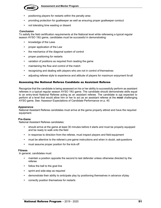

- positioning players for restarts within the penalty area
- providing protection for goalkeeper as well as ensuring proper goalkeeper conduct
- not tolerating time wasting or dissent

#### **Conclusion**

To satisfy the field certification requirements at the National level while refereeing a typical regular season AYSO 19U game, candidates must be successful in demonstrating:

- knowledge of the Laws
- proper application of the Law
- the mechanics of the diagonal system of control
- proper positioning for restarts
- variation of positions as required from reading the game
- maintaining the flow and control of the match
- recognizing and dealing with players who are not in control of themselves
- adjusting referee style to experience and attitude of players for maximum enjoyment forall

#### Assessing the National Referee Candidate as Assistant Referee

Recognize that the candidate is being assessed on his or her ability to successfully perform as assistant referees in a typical regular season AYSO 19U game. The candidate should demonstrate skills equal to an entry-level National Referee acting as an assistant referee. The candidate is not expected to perform at a level that would allow him or her to act as an assistant referee at the **most** challenging AYSO game. See: Assessor Expectations of Candidate Performance on p. 40.

#### **Appearance**

National Assistant Referee candidates must arrive at the game properly attired and have the required equipment.

#### **Pre-Game**

National Assistant Referee candidates:

- should arrive at the game at least 30 minutes before it starts and must be properly equipped and be ready to walk onto the field
- in response to direction from the referee, must inspect players and field equipment
- must be attentive to the referee's pre-game instructions and when in doubt, askquestions
- must assume proper position for the kick-off

#### **Fitness**

In general, candidates must:

- maintain a position opposite the second to last defender unless otherwise directed by the referee
- follow the ball to the goal line
- sprint and side-step as required
- demonstrate their ability to anticipate play by positioning themselves in advance ofplay
- correctly position themselves for restarts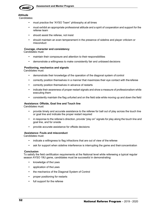

#### **Attitude** Candidates:

- must practice the "AYSO Team" philosophy at all times
- must exhibit an appropriate professional attitude and a spirit of cooperation and support for the referee team
- should assist the referee, not insist
- should maintain an even temperament in the presence of sideline and player criticism or misconduct

#### **Courage, character and consistency**

Candidates must:

- maintain their composure and attention to their responsibilities
- demonstrate a willingness to make consistently fair and unbiased decisions

#### **Positioning, mechanics and signals**

Candidates must:

- demonstrate their knowledge of the operation of the diagonal system of control
- correctly position themselves in a manner that maximizes their eye contact with the referee
- correctly position themselves in advance of restarts
- indicate their awareness of proper restart signals and show a measure of professionalism while executing them
- consistently maintain the flag unfurled and on the field side while moving up and down the field

#### **Assistance: Offside, Goal line and Touch line**

Candidates must:

- provide timely and accurate assistance to the referee for ball out of play across the touch line or goal line and indicate the proper restart required
- in response to the referee's direction, provide "play on" signals for play along the touch line and goal line, and for onside
- provide accurate assistance for offside decisions

#### **Assistance: Fouls and misconduct**

Candidates must:

- indicate a willingness to flag infractions that are out of view of the referee
- ask for support when sideline interference is interrupting the game and their concentration

#### **Conclusion**

To satisfy the field certification requirements at the National level while refereeing a typical regular season AYSO 19U game, candidates must be successful in demonstrating:

- knowledge of the Laws
- application of the Laws
- the mechanics of the Diagonal System of Control
- proper positioning for restarts
- full support for the referee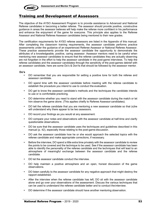

## Training and Development of Assessors

The objective of the AYSO Assessment Program is to provide assistance to Advanced and National Referee candidates in becoming a better referee. The assessor should provide positive, constructive guidance in areas the assessor believes will help make the referee more confident in his performance and enhance the enjoyment of the game for everyone. This principle also applies to the Referee Assessor and National Referee Assessor candidates being mentored to their new grades.

The certification requirements for AYSO referee assessors are listed in the Appendix of this manual. After completing the classroom training requirements, the assessor candidate performs practice assessments under the guidance of an experienced Referee Assessor or National Referee Assessor. These practice assessments provide the assessor candidate the opportunity to demonstrate the attributes of a knowledgeable, positive, caring assessor. Assessor mentors need to be careful when mentoring new assessor candidates to ensure that the referee candidates they are actually observing are not forgotten in the effort to help the assessor candidate in the post-game interviews. To help the referee candidates and the assessor candidates through the sensitivity of the post-games debrief with an assessor candidate, here are some Do's & Don'ts that should be followed by the assessor mentor.

#### **Do's**

- DO remember that you are responsible for setting a positive tone for both the referee and assessor candidate.
- DO spend time with the assessor candidate before meeting with the referee candidate to establish the procedure you intend to use to conduct the evaluation.
- DO get to know the assessor candidate's methods and the techniques the candidate intends to use or is comfortable practicing.
- DO determine whether you need to stand with the assessor candidate during the match or let him observe the game alone. (This applies chiefly to Referee Assessor candidates).
- DO tell the referee candidate that you are mentoring a new assessor candidate so that (s)he will understand why there appear to be two assessors.
- DO record your findings as you would at any assessment.
- DO compare your notes and observations with the assessor candidate at half-time and clarify questionable observations.
- DO be sure that the assessor candidate uses the techniques and guidelines described in this manual (p. 42), especially those relating to the post-game discussion.
- DO ask the assessor candidate how he or she would approach the selected topics with the referee candidate and make appropriate corrections, if necessary.
- Before the interview, DO spend a little extra time privately with the assessor candidate to review the points to be covered and the technique to be used. See if the assessor candidate has been able to identify the personality of the referee candidate and the techniques that will lead to an atmosphere of meaningful exchange between the assessor candidate and the referee candidate.
- DO let the assessor candidate conduct the interview.
- DO help maintain a positive atmosphere and an open, honest discussion of the game observations.
- DO listen carefully to the assessor candidate for any negative approach that might destroy the rapport established.
- After the interview when the referee candidate has left, DO sit with the assessor candidate alone and go over your observations of the assessment. Discuss the various techniques that can be used to understand the referee candidate better and to conduct theinterview.
- DO determine if the assessor candidate should have another mentoring observation.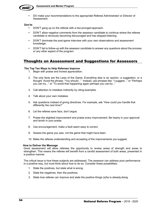

• DO make your recommendations to the appropriate Referee Administrator or Director of Assessment.

#### **Don'ts**

- DON'T gang up on the referee with a two-pronged approach.
- DON'T allow negative comments from the assessor candidate to continue where the referee candidate is obviously becoming discouraged and has stopped listening.
- DON'T dominate the post-game interview with your own observations and assessment knowledge.
- DON'T fail to follow-up with the assessor candidate to answer any questions about the process or any other aspect of the program.

### Thoughts on Assessment and Suggestions for Assessors

#### **The Top Ten Ways to Help Referees Improve**

- 1. Begin with praise and honest appreciation.
- 2. The only facts are the Laws of the Game. Everything else is an opinion, a suggestion, or a thought. Avoid the phrase: "You should..." Instead, use phrases like: "I suggest..." or "Perhaps you can try..." or "To avoid that happening again perhaps you can try..."
- 3. Call attention to mistakes indirectly by citing examples.
- 4. Talk about your own mistakes.
- 5. Ask questions instead of giving directives. For example, ask "How could you handle that differently the next time?"
- 6. Let the referee save face, don't argue.
- 7. Praise the slightest improvement and praise every improvement. Be hearty in your approval and lavish in your praise.
- 8. Use encouragement, make a fault seem easy to correct.
- 9. Assess the game you saw, not the game that might have been.
- 10. Make the referee understanding and accepting of the improvements you suggest.

#### **How to Deliver the Message**

Good assessment will allow referees the opportunity to review areas of strength and areas to strengthen. This means the referee will benefit from a candid assessment of both areas, presented in a positive manner.

The critical issue is how these subjects are addressed. The assessor can address poor performance in a positive way, but must think about how to do so. Consider these possibilities:

- 1. State the positives, but state what is wrong.
- 2. State the negatives, then the positives.
- 3. State how referee can improve and state the positive things (s)he is already doing.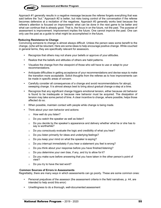

Approach #1 generally results in a negative message because the referee forgets everything that was said before the "but." Approach #2 is better, but risks losing control of the conversation if the referee becomes defensive at a recitation of the negatives. Approach #3 generally works best because the referee's attention is focused on improvement: what can be done in the next game to be better and what can continue that is already good. That is, the focus in on the future, not the past. The purpose of assessment is improvement. Improvement implies the future. One cannot improve the past. One can only use the past as a guide to what might be accomplished in the future.

#### **Reducing Resistance to Change**

Convincing someone to change is almost always difficult. Unless the person sees some benefit to the change, (s)he will be reluctant. Here are some ideas to help encourage positive change. While couched in general terms, they are specifically relevant for assessors.

- Recognize that others may not share your beliefs or approve of your attitudes.
- Realize that the beliefs and attitudes of others are habit patterns.
- Visualize the change from the viewpoint of those who will have to use or adapt to your recommendations.
- Anticipate difficulties in getting acceptance of your recommendations and devise ways to make the transition more acceptable. Solicit thoughts from the referee as to how improvements can be made in specific areas of concern.
- Carefully consider all consequences of a change and avoid recommendations for abrupt, sweeping change. It is almost always best to bring about gradual change a step at a time.
- Recognize that any significant change triggers emotional tension, either because old behavior is found to be inadequate or because new behavior must be acquired. The dissipation of tension may take some period of time. A clear incentive to change, where possible, helps those affected do so.
- When possible, maintain contact with people while change is being made.
- Think about your own behavior and actions:
	- o How well do you listen?
	- o Do you watch the speaker as well as listen?
	- $\circ$  Do you decide by the speaker's appearance and delivery whether what he or she has to say is worthwhile?
	- o Do you consciously evaluate the logic and credibility of what you hear?
	- o Do you listen primarily for ideas and underlying feelings?
	- o Do you keep your mind on what the speaker is saying?
	- o Do you interrupt immediately if you hear a statement you feel is wrong?
	- o Do you think about your response before you have finished listening?
	- $\circ$  Do you determine your own bias, if any, and try to allow for it?
	- $\circ$  Do you make sure before answering that you have taken in the other person's point of view?
	- $\circ$  Do you try to have the last word?

#### **Common Sources of Errors in Assessments**

Regrettably, there are many ways in which assessments can go poorly. These are some common ones:

- Personal prejudices of the assessor (the assessment criteria in the field narratives, p. 44, are intended to help avoid this error)
- Unwillingness to do a thorough, well-documented assessment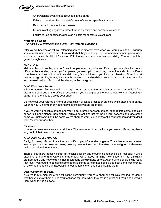

- Overweighing events that occur late in the game
- Failure to consider the candidate's point of view on specific situations
- Reluctance to point out weaknesses
- Communicating negatively rather than in a positive and constructive manner
- Failure to use specific incidents as a basis for constructive criticism

#### **Watching a Game**

*This article is reprinted from the June 1997 Referee Magazine.*

After you've become an official, attending games is different from when you were just a fan. Obviously you're much more aware of the officials and what they are doing. This becomes even more pronounced when you assume the title of Assessor. With that comes tremendous responsibility. You must watch a game the right way.

#### *Be Invisible:*

Maintain this philosophy; you don't want people to know you're an official. If you are identified as an official while attending games, you're opening yourself up for questions, contention and criticism. Every time there's a close call or controversial ruling, fans will look to you for an explanation. Don't look at that as an ego stroke, it's not, it is a tough situation to handle while maintaining your officiating integrity and professionalism. Avoid it all by staying in the background.

#### *Don't Wear Your Uniform:*

Whether you're a first-year official or a grizzled veteran, you're probably proud to be an official. You also might be proud of the officials' association you belong to or the league you work in. Attending a game is not the time to display your pride.

Do not wear your referee uniform or association or league jacket or patches while attending a game. Wearing your uniform or any other items identifies you as an official.

If you're working multiple games and you've got a break between games, change into something else or don't sit in the stands. Remember, you're a potential target for the players, coaches and fans of the game you just worked and the game you're about to work. You don't want a confrontation and you don't want "schmoozing" either.

#### *Sit Alone:*

If there's an area away from fans, sit there. That way, even if people know you are an official, they have to go out of their way to talk to you.

#### *Don't Criticize the Officials:*

Sadly, for many officials, that's the most difficult part of attending a game. That's because some revel in other people's mistakes and enjoy pointing them out to others. It makes them feel good. It also ruins their professional reputations.

There's little more appalling than an official publicly bad-mouthing another official, especially while attending a game and watching that official work. Keep in mind how important the officiating brotherhood is and how violating that trust among officials hurts others. After all, if the officiating is really that lousy, you ought to be doing some positive things to help those officials (a post-game conference, a follow-up phone call, an association meeting topic, etc.) and not criticizing them.

#### *Don't Comment to Fans:*

If you're truly a member of the officiating community, you care about the officials working the game whether you know them or not. You feel good for them when they make a great call. You also hurt with them when things go awry.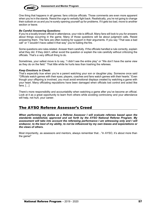

One thing that happens in all games: fans criticize officials. Those comments are even more apparent when you're in the stands. Resist the urge to verbally fight back. Realistically, you're not going to change their outlook on us and you're surely opening yourself up for problems. If it gets too bad, move to another section or leave.

#### *Be Careful Answering Questions:*

If you're a locally known official in attendance, your role is difficult. Many fans will look to you for answers about things occurring in the game. Many of those questions will be about judgment calls. Resist answering them. The fans are often looking for support in their arguments. If you say "That was a bad call" or "I wouldn't have called it that way" you're fueling the fire.

Some questions are rules-related. Answer them carefully. If the officials handled a rule correctly, explain what they did. If they didn't, either avoid the question or explain the rule carefully without criticizing the officials. That's a very difficult thing to do.

Sometimes, your safest move is to say, "I didn't see the entire play" or "We don't have the same view as they do on the field." That little white lie hurts less than trashing the referees.

#### *Keep Emotions in Check:*

That's especially true when you're a parent watching your son or daughter play. Someone once said "Officials watch games with their eyes; players, coaches and fans watch games with their hearts." Even though your offspring is involved, you must avoid emotional displays created by watching a game with your heart. Many officiating reputations have been damaged when officials lost control and acted like fans. […]

There's more responsibility and accountability when watching a game after you've become an official. Look at it as a great opportunity to learn from others while avoiding controversy and your attendance will help, not hurt, your career.

### The AYSO Referee Assessor's Creed

*When performing my duties as a Referee Assessor I will evaluate referees based upon the standards established, approved and set forth by the AYSO National Referee Program. My*  assessment will take into account the refereeing performance I am witnessing only and I will *endeavor, to the best of my ability, to not be influenced by my own biases and expectations or the views of others.*

Most importantly, as assessors and mentors, always remember that…"In AYSO, it's about more than the game!"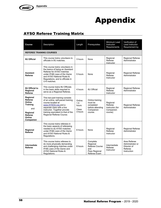

## Appendix

## AYSO Referee Training Matrix

| <b>Course</b>                                                                                                | Description                                                                                                                                                                                                                                      | Length                                       | Prerequisites                                                                       | Minimum Lead<br>Instructor<br>Requirements                     | Verification of<br>Lead Instructor<br>Requirement by                      |
|--------------------------------------------------------------------------------------------------------------|--------------------------------------------------------------------------------------------------------------------------------------------------------------------------------------------------------------------------------------------------|----------------------------------------------|-------------------------------------------------------------------------------------|----------------------------------------------------------------|---------------------------------------------------------------------------|
| <b>REFEREE TRAINING COURSES</b>                                                                              |                                                                                                                                                                                                                                                  |                                              |                                                                                     |                                                                |                                                                           |
| <b>8U Official</b>                                                                                           | This course trains volunteers to<br>officiate in 8U matches.                                                                                                                                                                                     | 3 hours                                      | None                                                                                | Regional<br>Referee<br>Instructor                              | <b>Regional Referee</b><br>Administrator                                  |
| <b>Assistant</b><br><b>Referee</b>                                                                           | This course trains volunteers in<br>the basics of being an Assistant<br>Referee for AYSO matches<br>under IFAB Laws of the Game<br>and AYSO National Rules &<br>Regulations, and to officiate in<br>U-8 matches.                                 | 5 hours                                      | None                                                                                | Regional<br>Referee<br>Instructor                              | Regional Referee<br>Administrator                                         |
| 8U Official to<br>Regional<br>Referee                                                                        | This course trains 8U Officials<br>in the basic skills required to<br>serve as a Regional Referee.                                                                                                                                               | 4 hours                                      | 8U Official                                                                         | Regional<br>Referee<br>Instructor                              | Regional Referee<br>Administrator                                         |
| Regional<br>Referee<br>Online<br><b>Training</b><br>and<br>Regional<br><b>Referee</b><br>Online<br>Companion | This two-part training consists<br>of an online, self-paced training<br>course located at<br>www.AYSOU.org and a<br>separate class with a live<br>instructor. Together provide<br>training equivalent to that of the<br>Regional Referee Course. | Online:<br>1.5<br>hours<br>Class:<br>3 hours | Online training<br>must be<br>completed<br>before attending<br>Companion<br>course. | Regional<br>Referee<br>Instructor (for<br>Companion<br>course) | <b>Regional Referee</b><br>Administrator                                  |
| Regional<br>Referee                                                                                          | This course trains referees in<br>the basic aspects of refereeing<br>needed to do AYSO matches<br>under IFAB Laws of the Game<br>and AYSO National Rules &<br>Regulations.                                                                       | 6 hours                                      | None                                                                                | Regional<br>Referee<br>Instructor                              | Regional Referee<br>Administrator                                         |
| Intermediate<br>Referee                                                                                      | This course trains referees to<br>do more physically demanding<br>and challenging matches under<br>IFAB Laws of the Game and<br>AYSO National Rules &<br>Regulations.                                                                            | 8 hours                                      | Complete<br>Regional<br>Referee Course<br>and<br>Pass Regional<br>Referee Exam      | Intermediate<br>Referee<br>Instructor                          | Area Referee<br>Administrator or<br>Director of<br>Referee<br>Instruction |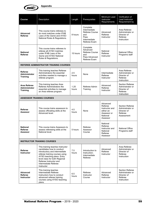

| <b>Course</b>                                                                                                                                                               | Description                                                                                                                                                                                                                                                     | Length        | Prerequisites                                                                             | Minimum Lead<br>Instructor<br>Requirements                                                | Verification of<br>Lead Instructor<br>Requirement by                                |
|-----------------------------------------------------------------------------------------------------------------------------------------------------------------------------|-----------------------------------------------------------------------------------------------------------------------------------------------------------------------------------------------------------------------------------------------------------------|---------------|-------------------------------------------------------------------------------------------|-------------------------------------------------------------------------------------------|-------------------------------------------------------------------------------------|
| This course trains referees to<br>do most matches under IFAB<br>Advanced<br><b>Referee</b><br>Laws of the Game and AYSO<br>National Rules & Regulations.                    |                                                                                                                                                                                                                                                                 | 8 hours       | Complete<br>Intermediate<br>Referee Course<br>and<br>Pass<br>Intermediate<br>Referee Exam | Advanced<br>Referee<br>Instructor                                                         | Area Referee<br>Administrator or<br>Director of<br>Referee<br>Instruction           |
| This course trains referees to<br>referee all AYSO matches<br><b>National</b><br>under IFAB Laws of the<br><b>Referee</b><br>Game and AYSO National<br>Rules & Regulations. |                                                                                                                                                                                                                                                                 | 15 hours      | Complete<br>Advanced<br>Referee Course<br>and<br>Pass Advanced<br>Referee Exam            | National<br>Referee<br>Instructor                                                         | <b>National Office</b><br>Programs staff                                            |
|                                                                                                                                                                             | <b>REFEREE ADMINISTRATOR TRAINING COURSES</b>                                                                                                                                                                                                                   |               |                                                                                           |                                                                                           |                                                                                     |
| Referee<br><b>Administrator</b><br><b>Training</b>                                                                                                                          | This training teaches Referee<br>Administrators the essential<br>activities needed to manage a<br>referee program.                                                                                                                                              | 2.5<br>hours  | None                                                                                      | Intermediate<br>Referee<br>Instructor                                                     | Area Referee<br>Administrator or<br>Director of<br>Referee<br>Instruction           |
| Area Referee<br><b>Administrator</b><br><b>Training</b>                                                                                                                     | This training teaches Area<br>Referee Administrators the<br>essential activities to manage<br>an Area referee program.                                                                                                                                          | 1.25<br>hours | Referee Admin<br>Training                                                                 | Advanced<br>Referee<br>Instructor                                                         | <b>Section Referee</b><br>Administrator or<br>Director of<br>Referee<br>Instruction |
|                                                                                                                                                                             | <b>ASSESSOR TRAINING COURSES</b>                                                                                                                                                                                                                                |               |                                                                                           |                                                                                           |                                                                                     |
| <b>Referee</b><br>Assessor                                                                                                                                                  | This course trains assessors to<br>assess officiating skills at the<br>Advanced level.                                                                                                                                                                          | 4.5<br>hours  | None                                                                                      | Advanced<br>Referee<br>Instructor and<br>either an<br>Assessor or<br>National<br>Assessor | <b>Section Referee</b><br>Administrator or<br>Director of<br>Referee<br>Assessment  |
| <b>National</b><br>Referee<br>Assessor                                                                                                                                      | This course trains Assessors to<br>assess refereeing skills at the<br>National level.                                                                                                                                                                           | 5 hours       | Referee<br>Assessor<br>Course                                                             | National<br>Referee<br>Instructor and<br>National<br>Referee<br>Assessor                  | National Office<br>Programs staff                                                   |
| <b>INSTRUCTOR TRAINING COURSES</b>                                                                                                                                          |                                                                                                                                                                                                                                                                 |               |                                                                                           |                                                                                           |                                                                                     |
| Referee<br><b>Instructor</b>                                                                                                                                                | This training teaches Instructor<br>candidates how to conduct<br>introductory and intermediate<br>referee training courses using<br>AYSO teaching plans. Entry<br>level class for both Regional<br>Referee Instructor and<br>Intermediate Referee<br>Instructor | 7.5<br>hours  | Introduction to<br>Instruction:<br>Intermediate<br>Referee                                | Advanced<br>Referee<br>Instructor                                                         | Area Referee<br>Administrator or<br>Director of<br>Referee<br>Instruction           |
| Advanced<br><b>Referee</b><br><b>Instructor</b>                                                                                                                             | This training teaches<br>Intermediate Referee<br>Instructors how to conduct<br>advanced referee training<br>courses using AYSO teaching<br>plans.                                                                                                               | 6.5<br>hours  | Referee<br>Instructor<br>Course                                                           | Advanced<br>Referee<br>Instructor                                                         | <b>Section Referee</b><br>Administrator or<br>Director of<br>Referee<br>Instruction |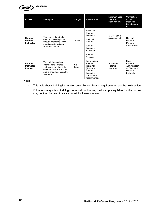

| <b>Course</b>                                    | Description                                                                                                                                           | Length       | Prerequisites                                                                                                         | Minimum Lead<br>Instructor<br>Requirements | Verification<br>of Lead<br>Instructor<br>Requirement<br>by                      |
|--------------------------------------------------|-------------------------------------------------------------------------------------------------------------------------------------------------------|--------------|-----------------------------------------------------------------------------------------------------------------------|--------------------------------------------|---------------------------------------------------------------------------------|
| <b>National</b><br>Referee<br><b>Instructor</b>  | This certification (not a<br>course) is accomplished<br>through mentoring while<br>assisting with National<br>Referee Courses                         | Variable     | Advanced<br>Referee<br>Instructor<br>National<br>Referee<br>Referee<br>Instructor<br>Evaluator<br>Referee<br>Assessor | SRA or SDRI<br>assigns mentor              | National<br>Referee<br>Program<br>Administrator                                 |
| <b>Referee</b><br><b>Instructor</b><br>Evaluator | This training teaches<br>Intermediate Referee<br>Instructors (or higher) to<br>evaluate other instructors<br>and to provide constructive<br>feedback. | 5.5<br>hours | Intermediate<br>Referee<br>Instructor<br>(Advanced<br>Referee<br>Instructor<br>certification<br>recommended)          | Advanced<br>Referee<br>Instructor          | Section<br>Referee<br>Administrator<br>or Director of<br>Referee<br>Instruction |

Notes:

- This table shows training information only. For certification requirements, see the next section.
- Volunteers may attend training courses without having the listed prerequisites but the course may not then be used to satisfy a certification requirement.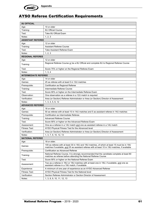

**Appendix**

## AYSO Referee Certification Requirements

| <b>8U OFFICIAL</b>          |                                                                                                                                                                                                |  |  |  |  |
|-----------------------------|------------------------------------------------------------------------------------------------------------------------------------------------------------------------------------------------|--|--|--|--|
| Age:                        | 10 or older                                                                                                                                                                                    |  |  |  |  |
| Training:                   | <b>8U Official Course</b>                                                                                                                                                                      |  |  |  |  |
| Test:                       | Take 8U Official Exam                                                                                                                                                                          |  |  |  |  |
| Notes:                      | 1, 2, 3                                                                                                                                                                                        |  |  |  |  |
| <b>ASSISTANT REFEREE</b>    |                                                                                                                                                                                                |  |  |  |  |
| Age:                        | 12 or older                                                                                                                                                                                    |  |  |  |  |
| Training:                   | <b>Assistant Referee Course</b>                                                                                                                                                                |  |  |  |  |
| Test:                       | <b>Take Assistant Referee Exam</b>                                                                                                                                                             |  |  |  |  |
| Notes:                      | 1, 2, 3                                                                                                                                                                                        |  |  |  |  |
| <b>REGIONAL REFEREE</b>     |                                                                                                                                                                                                |  |  |  |  |
| Age:                        | 12 or older                                                                                                                                                                                    |  |  |  |  |
| Training:                   | Regional Referee Course or be a 8U Official and complete 8U to Regional Referee Course                                                                                                         |  |  |  |  |
| Test:                       | Score 75% or higher on the Regional Referee Exam                                                                                                                                               |  |  |  |  |
| Notes:                      | 1, 3, 4                                                                                                                                                                                        |  |  |  |  |
| <b>INTERMEDIATE REFEREE</b> |                                                                                                                                                                                                |  |  |  |  |
| Age:                        | 14 or older                                                                                                                                                                                    |  |  |  |  |
| Games:                      | 25 as referee with at least 5 in 12U matches                                                                                                                                                   |  |  |  |  |
| Prerequisite:               | Certification as Regional Referee                                                                                                                                                              |  |  |  |  |
| Training:                   | Intermediate Referee Course                                                                                                                                                                    |  |  |  |  |
| Test:                       | Score 90% or higher on the Intermediate Referee Exam                                                                                                                                           |  |  |  |  |
| Observation:                | One observation as a referee in a 12U match is required                                                                                                                                        |  |  |  |  |
| Verification:               | Area (or Section) Referee Administrator or Area (or Section) Director of Assessment                                                                                                            |  |  |  |  |
| Notes:                      | 1, 3, 4, 5, 6, 12                                                                                                                                                                              |  |  |  |  |
| <b>ADVANCED REFEREE</b>     |                                                                                                                                                                                                |  |  |  |  |
| Age:                        | 16 or older                                                                                                                                                                                    |  |  |  |  |
| Games:                      | 50 as referee with at least 10 in 14U matches and 5 as assistant referee in 14U matches                                                                                                        |  |  |  |  |
| Prerequisite:               | Certification as Intermediate Referee                                                                                                                                                          |  |  |  |  |
| Training:                   | <b>Advanced Referee Course</b>                                                                                                                                                                 |  |  |  |  |
| Test:                       | Score 90% or higher on the Advanced Referee Exam                                                                                                                                               |  |  |  |  |
| Assessment:                 | One as a referee in a 14U match and one as assistant referee in a 14U match                                                                                                                    |  |  |  |  |
| <b>Fitness Test:</b>        | AYSO Physical Fitness Test for the Advanced level                                                                                                                                              |  |  |  |  |
| Verification:               | Area (or Section) Referee Administrator or Area (or Section) Director of Assessment                                                                                                            |  |  |  |  |
| Notes:                      | 1, 3, 7, 9, 10, 12, 13                                                                                                                                                                         |  |  |  |  |
| <b>NATIONAL REFEREE</b>     |                                                                                                                                                                                                |  |  |  |  |
| Age:                        | 18 or older.                                                                                                                                                                                   |  |  |  |  |
| Games:                      | 100 as referee with at least 30 in 16U and 19U matches, of which at least 15 must be in 19U<br>matches if available, and 25 as assistant referee with at least 10 in 19U matches, if available |  |  |  |  |
| Prerequisite:               | Certification as Advanced Referee                                                                                                                                                              |  |  |  |  |
| Training:                   | National Referee Course. It is strongly recommended that the candidate complete at least 80<br>matches as referee before attending the National Referee Course                                 |  |  |  |  |
| Test:                       | Score 90% or higher on the National Referee Exam                                                                                                                                               |  |  |  |  |
| Assessment:                 | Two as a referee in 16U or 19U matches with at least one in 19U, if available, and one as<br>assistant referee in a 19U match, if available                                                    |  |  |  |  |
| Experience:                 | A minimum of one year of experience as an AYSO Advanced Referee                                                                                                                                |  |  |  |  |
| Fitness Test:               | AYSO Physical Fitness Test for the National level                                                                                                                                              |  |  |  |  |
| Verification:               | Section Referee Administrator or Section Director of Assessment                                                                                                                                |  |  |  |  |
| Notes:                      | 1, 3, 8, 9, 10, 11, 12, 13                                                                                                                                                                     |  |  |  |  |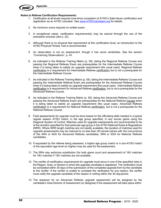

**Appendix**

#### **Notes to Referee Certification Requirements:**

- 1. Certification at all levels requires (one-time) completion of AYSO's Safe Haven certification and registration as an AYSO volunteer. See www.AYSOvolunteers.org for details.
- 2. No minimum score required on written exam.
- 3. In exceptional cases, certification requirement(s) may be waived through the use of the exemption process (see p. 22).
- 4. Although there is no physical test requirement at this certification level, an introduction to the AYSO Physical Fitness Test is recommended.
- 5. An observation is not an assessment, though it has some similarities. See the section "Concerning Observations", p. 43.
- 6. As indicated in the Referee Training Matrix (p. 59), taking the Regional Referee Course and passing the Regional Referee Exam are prerequisites for the Intermediate Referee Course when it is being taken to satisfy an upgrade requirement (the usual case). Regional Referee certification is a requirement for Intermediate Referee certification but is not a prerequisite for the Intermediate Referee Course.
- 7. As indicated in the Referee Training Matrix (p. 59), taking the Intermediate Referee Course and passing the Intermediate Referee Exam are prerequisites for the Advanced Referee Course when it is being taken to satisfy an upgrade requirement (the usual case). Intermediate Referee certification is a requirement for Advanced Referee certification, but is not a prerequisite for the Advanced Referee Course.
- 8. As indicated in the Referee Training Matrix (p. 59), taking the Advanced Referee Course and passing the Advanced Referee Exam are prerequisites for the National Referee Course when it is being taken to satisfy an upgrade requirement (the usual case). Advanced Referee certification is a requirement for National Referee certification, but is not a prerequisite for the National Referee Course.
- 9. Field assessments for upgrade must be done based on the officiating skills needed in a typical regular season AYSO match, in the age group specified, in any soccer game using the Diagonal System of Control. Matches used for upgrade assessments are recommended to be of the duration specified for that particular age group in the AYSO National Rules & Regulations (NRR). Where NRR length matches are not readily available, the duration of matches used for upgrade assessments may be reduced to no less than 30-minute halves with the concurrence of the ARA or ADA for Advanced Referee candidates, SRA or SDA for National Referee candidates.
- 10. If requested by the referee being assessed, a higher age group match or a non-AYSO match of the equivalent age level (or higher) may be used for the assessment.
- 11. The SRA may authorize substitution (for both game count and assessment) of 16U matches for 19U matches if 19U matches are not available.
- 12. The verifier of certification requirements for upgrade must serve in one of the specified roles in the Region, Area, or Section in which the upgrade candidate is registered. The verification must be completed within 30 days of the submission of the completed upgrade form by the candidate to the verifier. If the verifier is unable to complete the verification for any reason, the verifier must notify the upgrade candidate of the reason in writing within the 30-dayperiod.
- 13. The assessor for an Advanced Referee upgrade assessment will be assigned by the candidate's Area Director of Assessment (or designee) if the assessment will take place within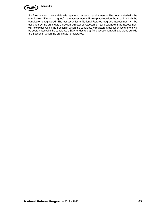

the Area in which the candidate is registered; assessor assignment will be coordinated with the candidate's ADA (or designee) if the assessment will take place outside the Area in which the candidate is registered. The assessor for a National Referee upgrade assessment will be assigned by the candidate's Section Director of Assessment (or designee) if the assessment will take place within the Section in which the candidate is registered; assessor assignment will be coordinated with the candidate's SDA (or designee) if the assessment will take place outside the Section in which the candidate is registered.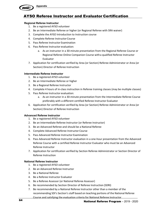

## AYSO Referee Instructor and Evaluator Certification

#### **Regional Referee Instructor**

- 1. Be a registered AYSO volunteer
- 2. Be an Intermediate Referee or higher (or Regional Referee with SRA waiver)
- 3. Complete the AYSO Introduction to Instruction course
- 4. Complete Referee Instructor Course
- 5. Pass Referee Instructor Examination
- 6. Pass Referee Instructor evaluation:
	- a. As an instructor in a 30-minute presentation from the Regional Referee Course or Regional Referee Online Companion Course witha qualified Referee Instructor Evaluator
- 7. Application for certification verified by Area (or Section) Referee Administrator or Area (or Section) Director of Referee Instruction

#### **Intermediate Referee Instructor**

- 1. Be a registered AYSO volunteer
- 2. Be an Intermediate Referee or higher
- 3. Be a Regional Referee Instructor
- 4. Complete 4 hours of in-class instruction in Referee training classes (may be multiple classes)
- 5. Pass Referee Instructor evaluation:
	- a. As an instructor in a 30-minute presentation from the Intermediate Referee Course preferably with a different certified Referee Instructor Evaluator
- 6. Application for certification verified by Area (or Section) Referee Administrator or Area (or Section) Director of Referee Instruction

#### **Advanced Referee Instructor**

- 1. Be a registered AYSO volunteer
- 2. Be an Intermediate Referee Instructor (or Referee Instructor)
- 3. Be an Advanced Referee and should be a National Referee
- 4. Complete Advanced Referee Instructor Course
- 5. Pass Advanced Referee Instructor Examination
- 6. Pass Advanced Referee Instructor evaluation in a one-hour presentation from the Advanced Referee Course with a certified Referee Instructor Evaluator who must be an Advanced Referee Instructor
- 7. Application for certification verified by Section Referee Administrator or Section Director of Referee Instruction

#### **National Referee Instructor**

- 1. Be a registered AYSO volunteer
- 2. Be an Advanced Referee Instructor
- 3. Be a National Referee
- 4. Be a Referee Instructor Evaluator
- 5. Be a Referee Assessor (or National Referee Assessor)
- 6. Be recommended by Section Director of Referee Instruction (SDRI)
- 7. Be recommended by a National Referee Instructor other than a member of the recommending SDI's Section's staff based on teaching portions of the National Referee Course and satisfying the evaluation criteria for National Referee Instructor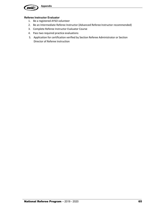

#### **Referee Instructor Evaluator**

- 1. Be a registered AYSO volunteer
- 2. Be an Intermediate Referee Instructor (Advanced Referee Instructor recommended)
- 3. Complete Referee Instructor Evaluator Course
- 4. Pass two required practice evaluations
- 5. Application for certification verified by Section Referee Administrator or Section Director of Referee Instruction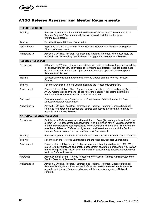## AYSO Referee Assessor and Mentor Requirements

| <b>REFEREE MENTOR</b>            |                                                                                                                                                                                                                                                                                                                                                                                                                         |  |  |  |
|----------------------------------|-------------------------------------------------------------------------------------------------------------------------------------------------------------------------------------------------------------------------------------------------------------------------------------------------------------------------------------------------------------------------------------------------------------------------|--|--|--|
| Training:                        | Successfully complete the Intermediate Referee Course class "The AYSO National<br>Referee Program." Recommended, but not required, that the Mentor be an<br>Intermediate Referee.                                                                                                                                                                                                                                       |  |  |  |
| Testing:                         | Pass the Regional Referee Examination                                                                                                                                                                                                                                                                                                                                                                                   |  |  |  |
| Appointment:                     | Appointed as a Referee Mentor by the Regional Referee Administrator or Regional<br>Director of Assessment                                                                                                                                                                                                                                                                                                               |  |  |  |
| Authorized to:                   | Advise 8U Officials, Assistant Referees and Regional Referees. When assessors are<br>not available, observe Regional Referees for upgrade to Intermediate Referee.                                                                                                                                                                                                                                                      |  |  |  |
| <b>REFEREE ASSESSOR</b>          |                                                                                                                                                                                                                                                                                                                                                                                                                         |  |  |  |
| Experience:                      | At least three (3) years of soccer experience as a referee and must have performed five<br>(5) observations for service or upgrade to Intermediate Referee. The candidate must<br>be an Intermediate Referee or higher and must have the approval of the Regional<br>Referee Administrator.                                                                                                                             |  |  |  |
| Training:                        | Successfully complete the Advanced Referee Course and the Referee Assessor<br>Course.                                                                                                                                                                                                                                                                                                                                   |  |  |  |
| Testing:                         | Pass the Advanced Referee Examination and the Assessor Examination.                                                                                                                                                                                                                                                                                                                                                     |  |  |  |
| Assessment:                      | Successful completion of two (2) practice assessments on referees officiating 14U<br>AYSO matches (or equivalent). These "over-the-shoulder" assessments must be<br>mentored by a Referee Assessor or National Assessor.                                                                                                                                                                                                |  |  |  |
| Approval:                        | Approved as a Referee Assessor by the Area Referee Administrator or the Area<br>Director of Referee Assessment.                                                                                                                                                                                                                                                                                                         |  |  |  |
| Authorized to:                   | Advise 8U Officials, Assistant Referees and Regional Referees. Observe Regional<br>Referees for upgrade to Intermediate Referee and assess Intermediate Referees for<br>upgrade to Advanced Referee.                                                                                                                                                                                                                    |  |  |  |
| <b>NATIONAL REFEREE ASSESSOR</b> |                                                                                                                                                                                                                                                                                                                                                                                                                         |  |  |  |
| Experience:                      | Certified as a Referee Assessor with a minimum of one (1) year in grade and performed<br>at least ten (10) assessments/observations, with a minimum of five (5) assessments on<br>Intermediate Referees seeking upgrade to the Advanced Referee level. The candidate<br>must be an Advanced Referee or higher and must have the approval of the Section<br>Referee Administrator or the Section Director of Assessment. |  |  |  |
| Training:                        | Successfully complete the National Referee Course and the National Assessor Course.                                                                                                                                                                                                                                                                                                                                     |  |  |  |
| Testing:                         | Pass the National Referee Examination and the National Assessor Examination.                                                                                                                                                                                                                                                                                                                                            |  |  |  |
| Assessment:                      | Successful completion of one practice assessment of a referee officiating a 16U AYSO<br>match (or equivalent) and one practice assessment of a referee officiating a 19U AYSO<br>match (or equivalent). These "over-the-shoulder" assessments must be mentored by a<br>National Referee Assessor.                                                                                                                       |  |  |  |
| Approval:                        | Approved as a National Referee Assessor by the Section Referee Administrator or the<br>Section Director of Referee Assessment.                                                                                                                                                                                                                                                                                          |  |  |  |
| Authorized to:                   | Advise 8U Officials, Assistant Referees and Regional Referees. Observe Regional<br>Referees for upgrade to Intermediate Referee and assess Intermediate Referees for<br>upgrade to Advanced Referee and Advanced Referees for upgrade to National<br>Referee.                                                                                                                                                           |  |  |  |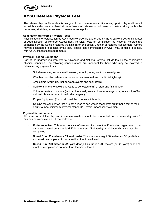

**Appendix**

## AYSO Referee Physical Test

The referee physical fitness test is designed to test the referee's ability to stay up with play and to react to match situations encountered at these levels. All referees should warm up before taking the test by performing stretching exercises to prevent muscle pulls.

#### **Administering Referee Physical Tests**

Physical tests for certification as Advanced Referee are authorized by the Area Referee Administrator or Area Director of Referee Assessment. Physical tests for certification as National Referee are authorized by the Section Referee Administrator or Section Director of Referee Assessment. Others may be designated to administer the test. Fitness tests administered by USSF may be used to comply with AYSO fitness test requirements.

#### **Physical Testing Conditions**

Part of the upgrade requirements to Advanced and National referee include testing the candidate's physical condition. The following considerations are important for those who may be involved in administering physical tests:

- Suitable running surface (well-marked, smooth, level, track or mowed grass)
- Weather conditions (temperature extremes, rain, natural or artificial lighting)
- Ample time (warm-up, rest between events and cool-down)
- Sufficient timers to avoid long waits to be tested (staff at start and finish lines)
- Volunteer safety provisions (tent or other shady area, cot, water/orange juice, availability of first aid, cell phone in case of medical emergency)
- Proper Equipment (forms, stopwatches, cones, clipboards)
- Remind the candidates that it is not a race to see who is the fastest but rather a test of their ability to meet minimum physical standards. (Avoid unnecessary exertion.)

#### **Physical Requirements**

All three parts of the physical fitness examination should be conducted on the same day, with 15 minutes between events. These parts are:

- **Endurance Run:** This event consists of a run/jog for the entire 12 minutes, regardless of the distance covered on a standard 400-meter track (440 yards). A minimum distance must be completed.
- **Speed Run (50 meters or 55 yard dash):** This run is a straight 50 meters (or 55 yard) dash and must be completed in no more than the time allowed.
- **Speed Run (200 meter or 220 yard dash):** This run is a 200 meters (or 220-yard) dash and must be completed in no more than the time allowed.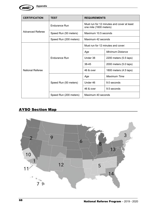

| <b>CERTIFICATION</b> | <b>TEST</b>            | <b>REQUIREMENTS</b>                                                  |                        |
|----------------------|------------------------|----------------------------------------------------------------------|------------------------|
|                      | Endurance Run          | Must run for 12 minutes and cover at least<br>one mile (1600 meters) |                        |
| Advanced Referee     | Speed Run (50 meters)  | Maximum 10.5 seconds                                                 |                        |
|                      | Speed Run (200 meters) | Maximum 42 seconds                                                   |                        |
|                      |                        | Must run for 12 minutes and cover:                                   |                        |
|                      | Endurance Run          | Age                                                                  | Minimum Distance       |
|                      |                        | Under 38                                                             | 2200 meters (5.5 laps) |
|                      |                        | 38-45                                                                | 2000 meters (5.0 laps) |
| National Referee     |                        | 46 & over                                                            | 1800 meters (4.5 laps) |
|                      |                        | Age                                                                  | <b>Maximum Time</b>    |
|                      | Speed Run (50 meters)  | Under 46                                                             | 9.0 seconds            |
|                      |                        | 46 & over                                                            | 9.5 seconds            |
|                      | Speed Run (200 meters) | Maximum 40 seconds                                                   |                        |

## AYSO Section Map